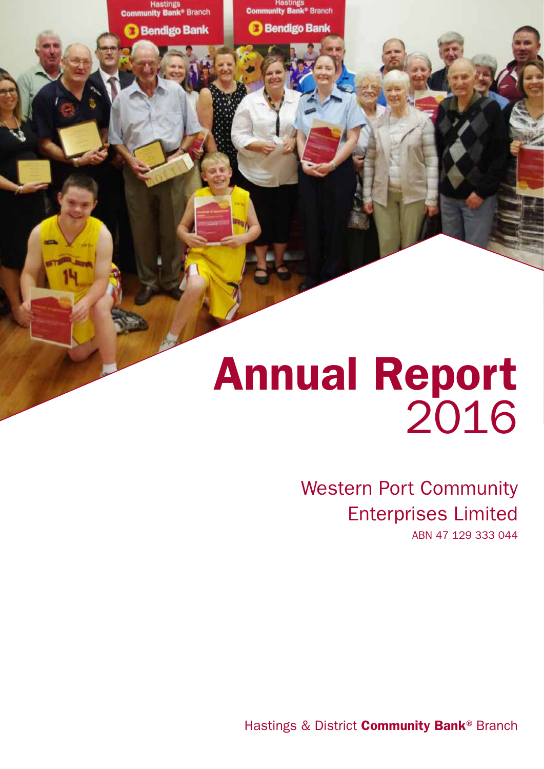Hastinds **Community Bank® Branch** 

**Bendigo Bank** 

**Community Bank® Branch Bendigo Bank** 

# Annual Report 2016

ABN 47 129 333 044 Western Port Community Enterprises Limited

Hastings & District **Community Bank®** Branch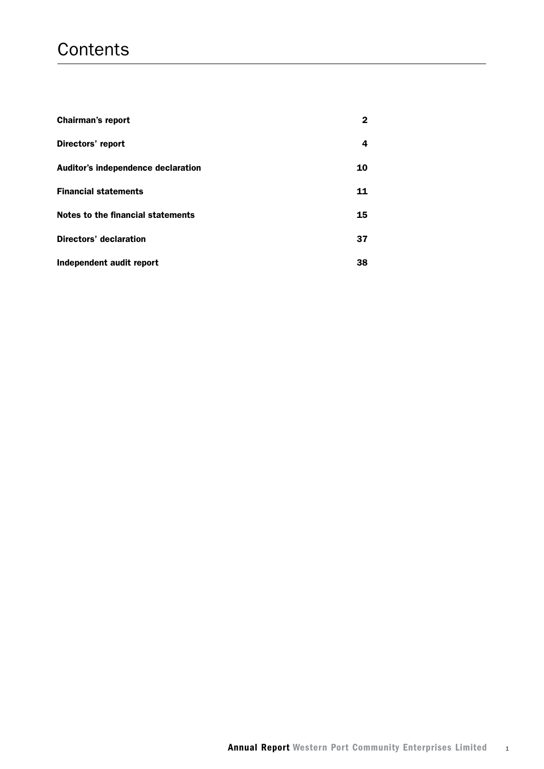# **Contents**

| <b>Chairman's report</b>           | 2  |
|------------------------------------|----|
| Directors' report                  | 4  |
| Auditor's independence declaration | 10 |
| <b>Financial statements</b>        | 11 |
| Notes to the financial statements  | 15 |
| Directors' declaration             | 37 |
| Independent audit report           | 38 |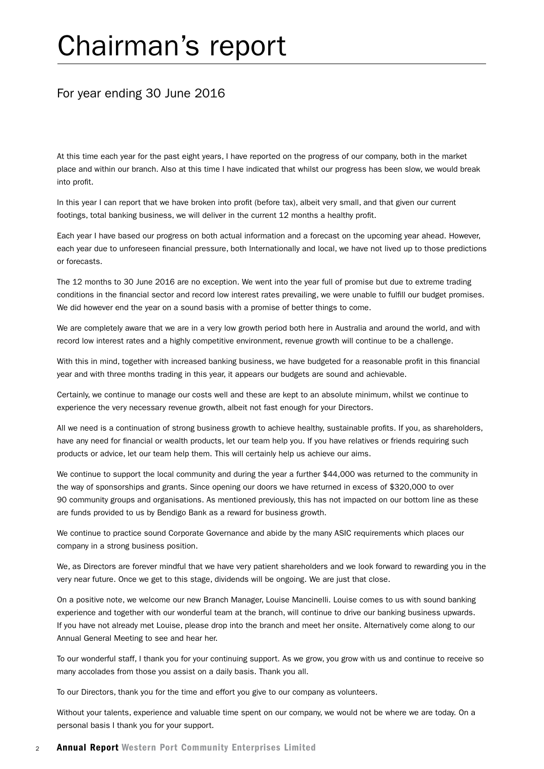# Chairman's report

# For year ending 30 June 2016

At this time each year for the past eight years, I have reported on the progress of our company, both in the market place and within our branch. Also at this time I have indicated that whilst our progress has been slow, we would break into profit.

In this year I can report that we have broken into profit (before tax), albeit very small, and that given our current footings, total banking business, we will deliver in the current 12 months a healthy profit.

Each year I have based our progress on both actual information and a forecast on the upcoming year ahead. However, each year due to unforeseen financial pressure, both Internationally and local, we have not lived up to those predictions or forecasts.

The 12 months to 30 June 2016 are no exception. We went into the year full of promise but due to extreme trading conditions in the financial sector and record low interest rates prevailing, we were unable to fulfill our budget promises. We did however end the year on a sound basis with a promise of better things to come.

We are completely aware that we are in a very low growth period both here in Australia and around the world, and with record low interest rates and a highly competitive environment, revenue growth will continue to be a challenge.

With this in mind, together with increased banking business, we have budgeted for a reasonable profit in this financial year and with three months trading in this year, it appears our budgets are sound and achievable.

Certainly, we continue to manage our costs well and these are kept to an absolute minimum, whilst we continue to experience the very necessary revenue growth, albeit not fast enough for your Directors.

All we need is a continuation of strong business growth to achieve healthy, sustainable profits. If you, as shareholders, have any need for financial or wealth products, let our team help you. If you have relatives or friends requiring such products or advice, let our team help them. This will certainly help us achieve our aims.

We continue to support the local community and during the year a further \$44,000 was returned to the community in the way of sponsorships and grants. Since opening our doors we have returned in excess of \$320,000 to over 90 community groups and organisations. As mentioned previously, this has not impacted on our bottom line as these are funds provided to us by Bendigo Bank as a reward for business growth.

We continue to practice sound Corporate Governance and abide by the many ASIC requirements which places our company in a strong business position.

We, as Directors are forever mindful that we have very patient shareholders and we look forward to rewarding you in the very near future. Once we get to this stage, dividends will be ongoing. We are just that close.

On a positive note, we welcome our new Branch Manager, Louise Mancinelli. Louise comes to us with sound banking experience and together with our wonderful team at the branch, will continue to drive our banking business upwards. If you have not already met Louise, please drop into the branch and meet her onsite. Alternatively come along to our Annual General Meeting to see and hear her.

To our wonderful staff, I thank you for your continuing support. As we grow, you grow with us and continue to receive so many accolades from those you assist on a daily basis. Thank you all.

To our Directors, thank you for the time and effort you give to our company as volunteers.

Without your talents, experience and valuable time spent on our company, we would not be where we are today. On a personal basis I thank you for your support.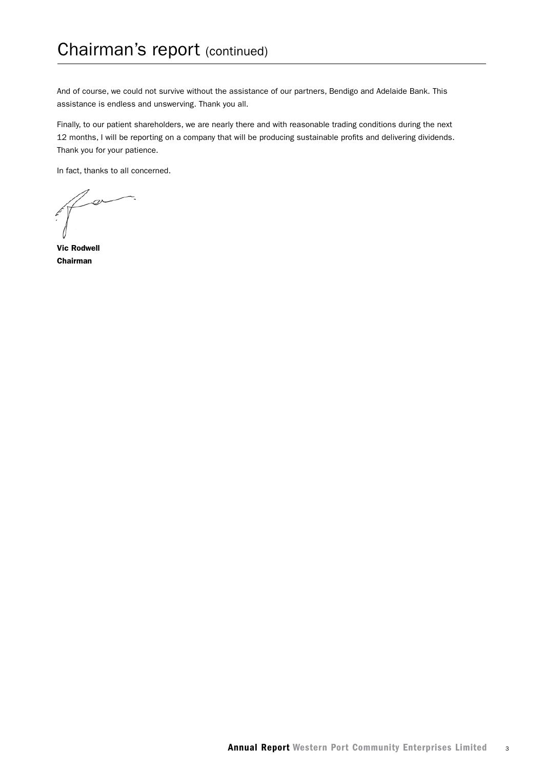And of course, we could not survive without the assistance of our partners, Bendigo and Adelaide Bank. This assistance is endless and unswerving. Thank you all.

Finally, to our patient shareholders, we are nearly there and with reasonable trading conditions during the next 12 months, I will be reporting on a company that will be producing sustainable profits and delivering dividends. Thank you for your patience.

In fact, thanks to all concerned.

 $\sim$ 

Vic Rodwell Chairman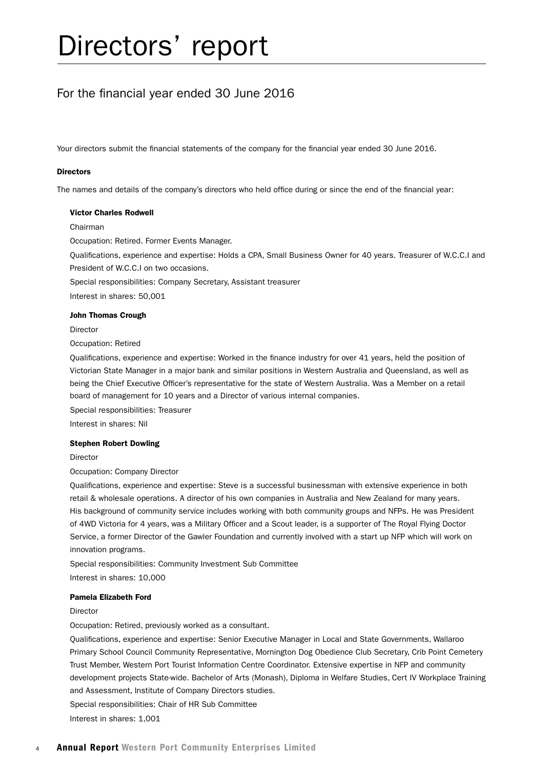# Directors' report

# For the financial year ended 30 June 2016

Your directors submit the financial statements of the company for the financial year ended 30 June 2016.

#### Directors

The names and details of the company's directors who held office during or since the end of the financial year:

#### Victor Charles Rodwell

Chairman

Occupation: Retired. Former Events Manager.

Qualifications, experience and expertise: Holds a CPA, Small Business Owner for 40 years. Treasurer of W.C.C.I and President of W.C.C.I on two occasions.

Special responsibilities: Company Secretary, Assistant treasurer

Interest in shares: 50,001

#### John Thomas Crough

Director

Occupation: Retired

Qualifications, experience and expertise: Worked in the finance industry for over 41 years, held the position of Victorian State Manager in a major bank and similar positions in Western Australia and Queensland, as well as being the Chief Executive Officer's representative for the state of Western Australia. Was a Member on a retail board of management for 10 years and a Director of various internal companies.

Special responsibilities: Treasurer

Interest in shares: Nil

#### Stephen Robert Dowling

Director

Occupation: Company Director

Qualifications, experience and expertise: Steve is a successful businessman with extensive experience in both retail & wholesale operations. A director of his own companies in Australia and New Zealand for many years. His background of community service includes working with both community groups and NFPs. He was President of 4WD Victoria for 4 years, was a Military Officer and a Scout leader, is a supporter of The Royal Flying Doctor Service, a former Director of the Gawler Foundation and currently involved with a start up NFP which will work on innovation programs.

Special responsibilities: Community Investment Sub Committee

Interest in shares: 10,000

#### Pamela Elizabeth Ford

#### Director

Occupation: Retired, previously worked as a consultant.

Qualifications, experience and expertise: Senior Executive Manager in Local and State Governments, Wallaroo Primary School Council Community Representative, Mornington Dog Obedience Club Secretary, Crib Point Cemetery Trust Member, Western Port Tourist Information Centre Coordinator. Extensive expertise in NFP and community development projects State-wide. Bachelor of Arts (Monash), Diploma in Welfare Studies, Cert IV Workplace Training and Assessment, Institute of Company Directors studies.

Special responsibilities: Chair of HR Sub Committee

Interest in shares: 1,001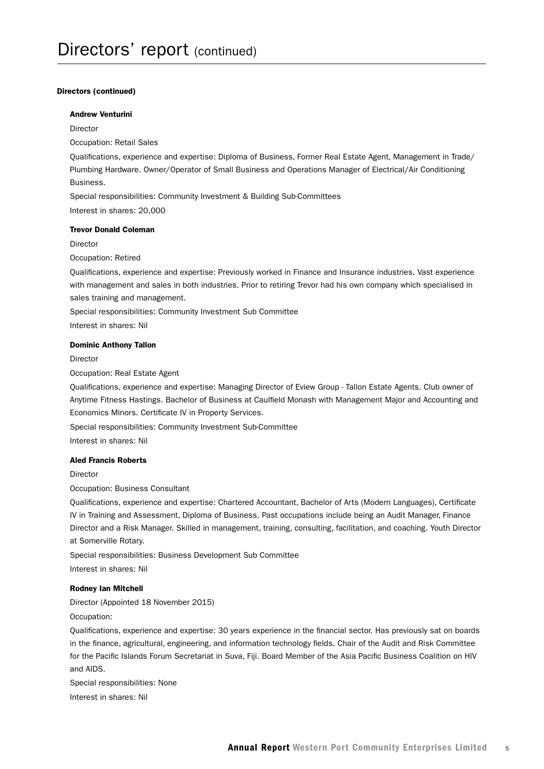#### Directors (continued)

#### Andrew Venturini

Director

Occupation: Retail Sales

Qualifications, experience and expertise: Diploma of Business, Former Real Estate Agent, Management in Trade/ Plumbing Hardware. Owner/Operator of Small Business and Operations Manager of Electrical/Air Conditioning Business.

Special responsibilities: Community Investment & Building Sub-Committees Interest in shares: 20,000

#### Trevor Donald Coleman

Director

Occupation: Retired

Qualifications, experience and expertise: Previously worked in Finance and Insurance industries. Vast experience with management and sales in both industries. Prior to retiring Trevor had his own company which specialised in sales training and management.

Special responsibilities: Community Investment Sub Committee

Interest in shares: Nil

#### Dominic Anthony Tallon

Director

Occupation: Real Estate Agent

Qualifications, experience and expertise: Managing Director of Eview Group - Tallon Estate Agents. Club owner of Anytime Fitness Hastings. Bachelor of Business at Caulfield Monash with Management Major and Accounting and Economics Minors. Certificate IV in Property Services.

Special responsibilities: Community Investment Sub-Committee

Interest in shares: Nil

#### Aled Francis Roberts

Director

Occupation: Business Consultant

Qualifications, experience and expertise: Chartered Accountant, Bachelor of Arts (Modern Languages), Certificate IV in Training and Assessment, Diploma of Business. Past occupations include being an Audit Manager, Finance Director and a Risk Manager. Skilled in management, training, consulting, facilitation, and coaching. Youth Director at Somerville Rotary.

Special responsibilities: Business Development Sub Committee Interest in shares: Nil

#### Rodney Ian Mitchell

Director (Appointed 18 November 2015) Occupation:

Qualifications, experience and expertise: 30 years experience in the financial sector. Has previously sat on boards in the finance, agricultural, engineering, and information technology fields. Chair of the Audit and Risk Committee for the Pacific Islands Forum Secretariat in Suva, Fiji. Board Member of the Asia Pacific Business Coalition on HIV and AIDS.

Special responsibilities: None Interest in shares: Nil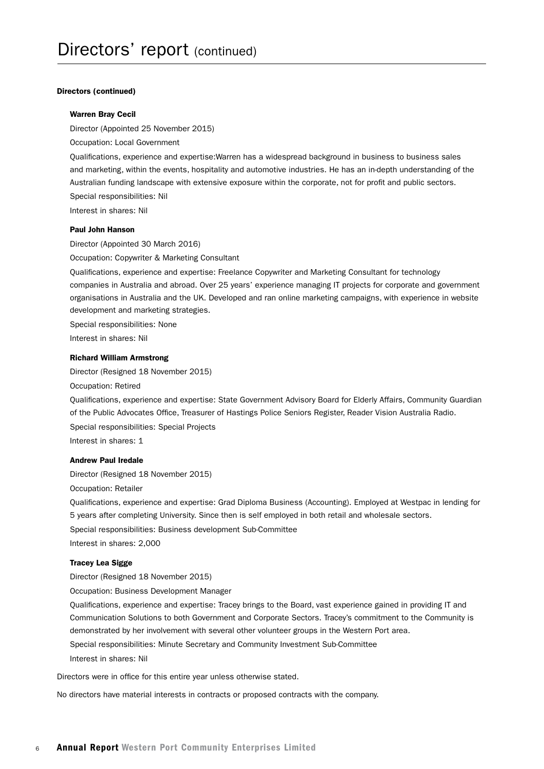#### Directors (continued)

#### Warren Bray Cecil

Director (Appointed 25 November 2015)

Occupation: Local Government

Qualifications, experience and expertise:Warren has a widespread background in business to business sales and marketing, within the events, hospitality and automotive industries. He has an in-depth understanding of the Australian funding landscape with extensive exposure within the corporate, not for profit and public sectors.

Special responsibilities: Nil

Interest in shares: Nil

#### Paul John Hanson

Director (Appointed 30 March 2016)

Occupation: Copywriter & Marketing Consultant

Qualifications, experience and expertise: Freelance Copywriter and Marketing Consultant for technology companies in Australia and abroad. Over 25 years' experience managing IT projects for corporate and government organisations in Australia and the UK. Developed and ran online marketing campaigns, with experience in website development and marketing strategies.

Special responsibilities: None

Interest in shares: Nil

#### Richard William Armstrong

Director (Resigned 18 November 2015)

Occupation: Retired

Qualifications, experience and expertise: State Government Advisory Board for Elderly Affairs, Community Guardian of the Public Advocates Office, Treasurer of Hastings Police Seniors Register, Reader Vision Australia Radio. Special responsibilities: Special Projects

Interest in shares: 1

#### Andrew Paul Iredale

Director (Resigned 18 November 2015) Occupation: Retailer

Qualifications, experience and expertise: Grad Diploma Business (Accounting). Employed at Westpac in lending for 5 years after completing University. Since then is self employed in both retail and wholesale sectors. Special responsibilities: Business development Sub-Committee

Interest in shares: 2,000

#### Tracey Lea Sigge

Director (Resigned 18 November 2015)

Occupation: Business Development Manager

Qualifications, experience and expertise: Tracey brings to the Board, vast experience gained in providing IT and Communication Solutions to both Government and Corporate Sectors. Tracey's commitment to the Community is demonstrated by her involvement with several other volunteer groups in the Western Port area.

Special responsibilities: Minute Secretary and Community Investment Sub-Committee

Interest in shares: Nil

Directors were in office for this entire year unless otherwise stated.

No directors have material interests in contracts or proposed contracts with the company.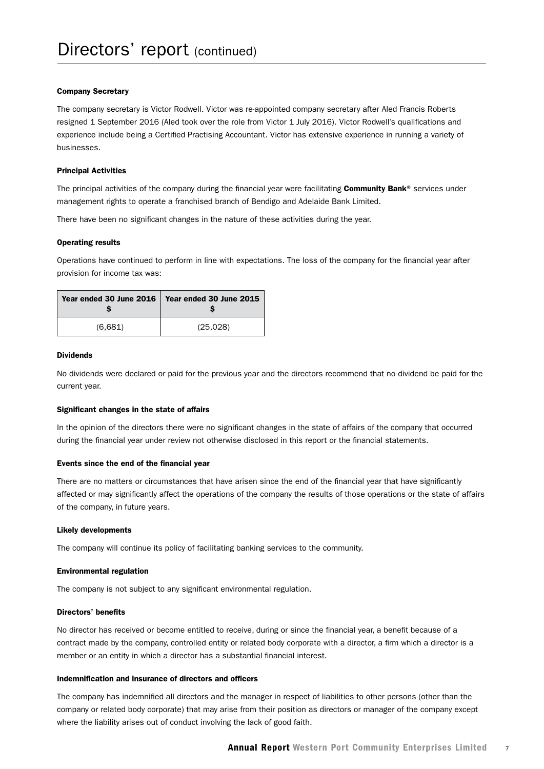#### Company Secretary

The company secretary is Victor Rodwell. Victor was re-appointed company secretary after Aled Francis Roberts resigned 1 September 2016 (Aled took over the role from Victor 1 July 2016). Victor Rodwell's qualifications and experience include being a Certified Practising Accountant. Victor has extensive experience in running a variety of businesses.

#### Principal Activities

The principal activities of the company during the financial year were facilitating **Community Bank®** services under management rights to operate a franchised branch of Bendigo and Adelaide Bank Limited.

There have been no significant changes in the nature of these activities during the year.

#### Operating results

Operations have continued to perform in line with expectations. The loss of the company for the financial year after provision for income tax was:

|         | Year ended 30 June 2016   Year ended 30 June 2015 |
|---------|---------------------------------------------------|
| (6,681) | (25,028)                                          |

#### Dividends

No dividends were declared or paid for the previous year and the directors recommend that no dividend be paid for the current year.

#### Significant changes in the state of affairs

In the opinion of the directors there were no significant changes in the state of affairs of the company that occurred during the financial year under review not otherwise disclosed in this report or the financial statements.

#### Events since the end of the financial year

There are no matters or circumstances that have arisen since the end of the financial year that have significantly affected or may significantly affect the operations of the company the results of those operations or the state of affairs of the company, in future years.

#### Likely developments

The company will continue its policy of facilitating banking services to the community.

#### Environmental regulation

The company is not subject to any significant environmental regulation.

#### Directors' benefits

No director has received or become entitled to receive, during or since the financial year, a benefit because of a contract made by the company, controlled entity or related body corporate with a director, a firm which a director is a member or an entity in which a director has a substantial financial interest.

#### Indemnification and insurance of directors and officers

The company has indemnified all directors and the manager in respect of liabilities to other persons (other than the company or related body corporate) that may arise from their position as directors or manager of the company except where the liability arises out of conduct involving the lack of good faith.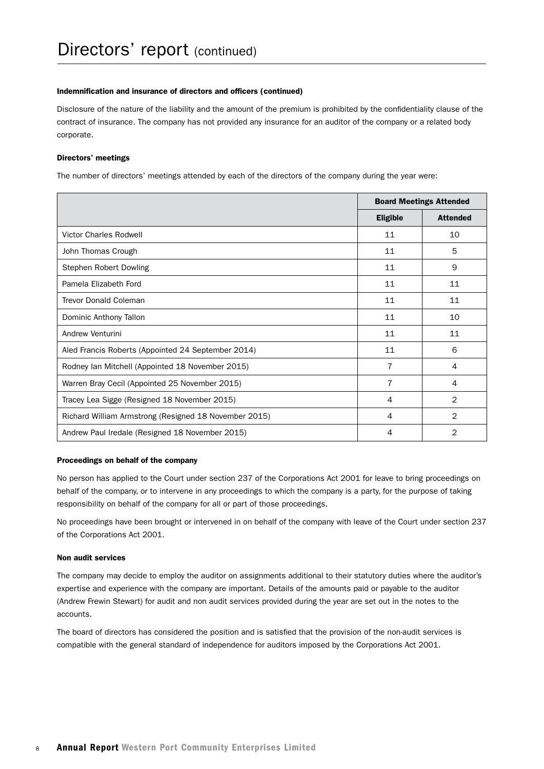#### Indemnification and insurance of directors and officers (continued)

Disclosure of the nature of the liability and the amount of the premium is prohibited by the confidentiality clause of the contract of insurance. The company has not provided any insurance for an auditor of the company or a related body corporate.

#### Directors' meetings

The number of directors' meetings attended by each of the directors of the company during the year were:

|                                                       | <b>Board Meetings Attended</b> |                 |
|-------------------------------------------------------|--------------------------------|-----------------|
|                                                       | <b>Eligible</b>                | <b>Attended</b> |
| Victor Charles Rodwell                                | 11                             | 10              |
| John Thomas Crough                                    | 11                             | 5               |
| Stephen Robert Dowling                                | 11                             | 9               |
| Pamela Elizabeth Ford                                 | 11                             | 11              |
| Trevor Donald Coleman                                 | 11                             | 11              |
| Dominic Anthony Tallon                                | 11                             | 10              |
| Andrew Venturini                                      | 11                             | 11              |
| Aled Francis Roberts (Appointed 24 September 2014)    | 11                             | 6               |
| Rodney Ian Mitchell (Appointed 18 November 2015)      | 7                              | 4               |
| Warren Bray Cecil (Appointed 25 November 2015)        | 7                              | 4               |
| Tracey Lea Sigge (Resigned 18 November 2015)          | 4                              | 2               |
| Richard William Armstrong (Resigned 18 November 2015) | 4                              | 2               |
| Andrew Paul Iredale (Resigned 18 November 2015)       | 4                              | $\overline{2}$  |

#### Proceedings on behalf of the company

No person has applied to the Court under section 237 of the Corporations Act 2001 for leave to bring proceedings on behalf of the company, or to intervene in any proceedings to which the company is a party, for the purpose of taking responsibility on behalf of the company for all or part of those proceedings.

No proceedings have been brought or intervened in on behalf of the company with leave of the Court under section 237 of the Corporations Act 2001.

#### Non audit services

The company may decide to employ the auditor on assignments additional to their statutory duties where the auditor's expertise and experience with the company are important. Details of the amounts paid or payable to the auditor (Andrew Frewin Stewart) for audit and non audit services provided during the year are set out in the notes to the accounts.

The board of directors has considered the position and is satisfied that the provision of the non-audit services is compatible with the general standard of independence for auditors imposed by the Corporations Act 2001.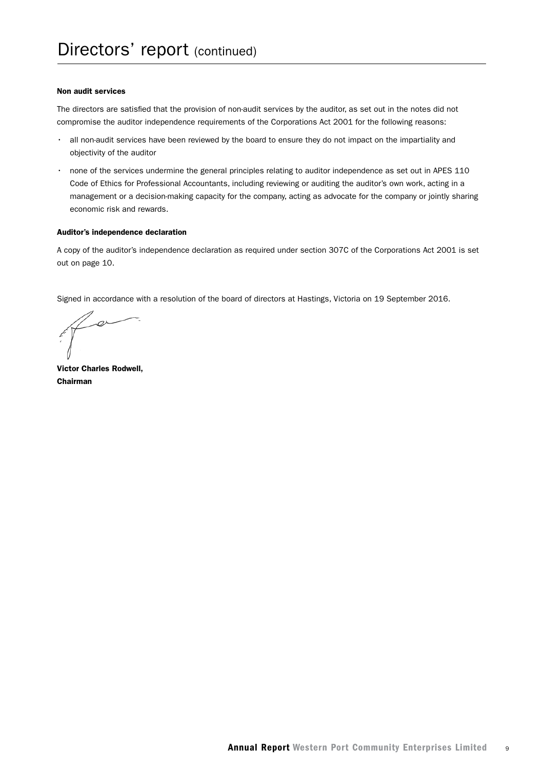#### Non audit services

The directors are satisfied that the provision of non-audit services by the auditor, as set out in the notes did not compromise the auditor independence requirements of the Corporations Act 2001 for the following reasons:

- all non-audit services have been reviewed by the board to ensure they do not impact on the impartiality and objectivity of the auditor
- none of the services undermine the general principles relating to auditor independence as set out in APES 110 Code of Ethics for Professional Accountants, including reviewing or auditing the auditor's own work, acting in a management or a decision-making capacity for the company, acting as advocate for the company or jointly sharing economic risk and rewards.

#### Auditor's independence declaration

A copy of the auditor's independence declaration as required under section 307C of the Corporations Act 2001 is set out on page 10.

Signed in accordance with a resolution of the board of directors at Hastings, Victoria on 19 September 2016.

Victor Charles Rodwell, Chairman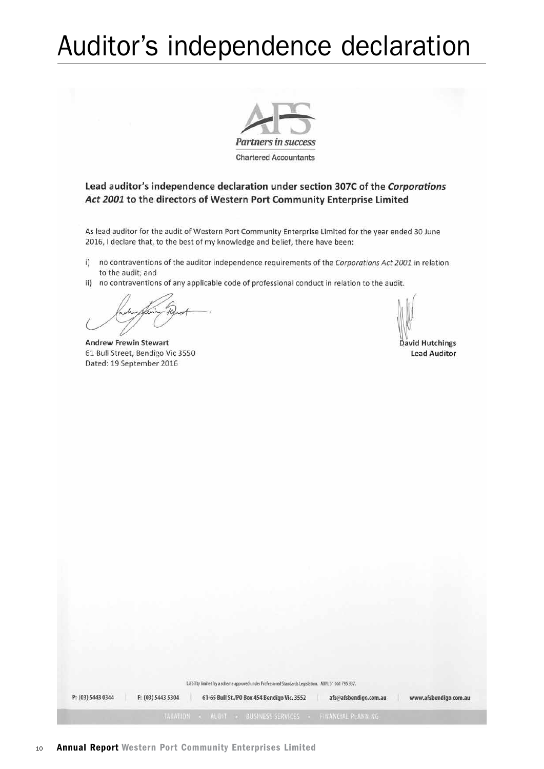# Auditor's independence declaration



### Lead auditor's independence declaration under section 307C of the Corporations Act 2001 to the directors of Western Port Community Enterprise Limited

As lead auditor for the audit of Western Port Community Enterprise Limited for the year ended 30 June 2016, I declare that, to the best of my knowledge and belief, there have been:

- i) no contraventions of the auditor independence requirements of the Corporations Act 2001 in relation to the audit; and
- no contraventions of any applicable code of professional conduct in relation to the audit.  $\mathbf{ii}$

**Andrew Frewin Stewart** 61 Bull Street, Bendigo Vic 3550 Dated: 19 September 2016

vid Hutchings **Lead Auditor** 

| P: (03) 5443 0344<br>F: (03) 5443 5304 | Liability limited by a scheme approved under Professional Standards Legislation. ABN: 51 061 795 337.<br>61-65 Bull St./PO Box 454 Bendigo Vic. 3552<br>afs@afsbendigo.com.au<br>www.afsbendigo.com.au |
|----------------------------------------|--------------------------------------------------------------------------------------------------------------------------------------------------------------------------------------------------------|
|                                        | TAXATION : AUDIT : BUSINESS SERVICES :<br><b>FINANCIAL PLANNING</b>                                                                                                                                    |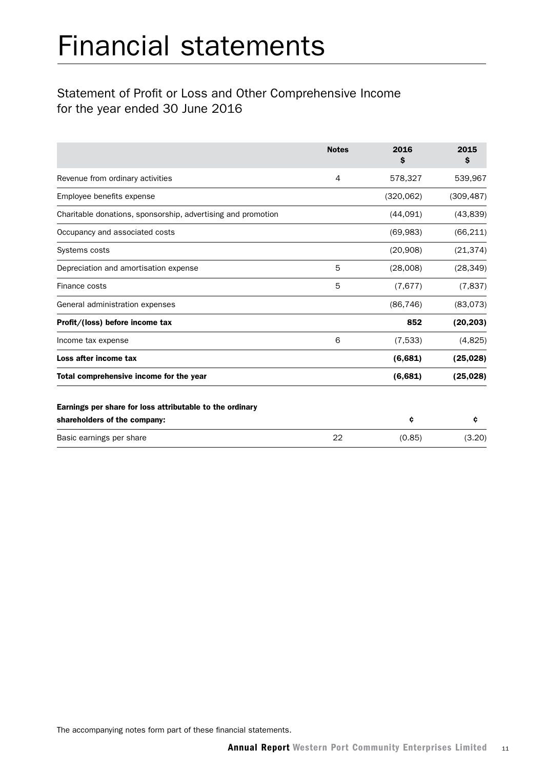# Statement of Profit or Loss and Other Comprehensive Income for the year ended 30 June 2016

|                                                              | <b>Notes</b> | 2016<br>\$ | 2015<br>\$ |
|--------------------------------------------------------------|--------------|------------|------------|
| Revenue from ordinary activities                             | 4            | 578,327    | 539,967    |
| Employee benefits expense                                    |              | (320, 062) | (309, 487) |
| Charitable donations, sponsorship, advertising and promotion |              | (44,091)   | (43, 839)  |
| Occupancy and associated costs                               |              | (69, 983)  | (66, 211)  |
| Systems costs                                                |              | (20, 908)  | (21, 374)  |
| Depreciation and amortisation expense                        | 5            | (28,008)   | (28, 349)  |
| Finance costs                                                | 5            | (7,677)    | (7,837)    |
| General administration expenses                              |              | (86, 746)  | (83,073)   |
| Profit/(loss) before income tax                              |              | 852        | (20, 203)  |
| Income tax expense                                           | 6            | (7,533)    | (4,825)    |
| Loss after income tax                                        |              | (6,681)    | (25, 028)  |
| Total comprehensive income for the year                      |              | (6,681)    | (25, 028)  |
| Earnings per share for loss attributable to the ordinary     |              |            |            |
| shareholders of the company:                                 |              | ¢          | ¢          |
| Basic earnings per share                                     | 22           | (0.85)     | (3.20)     |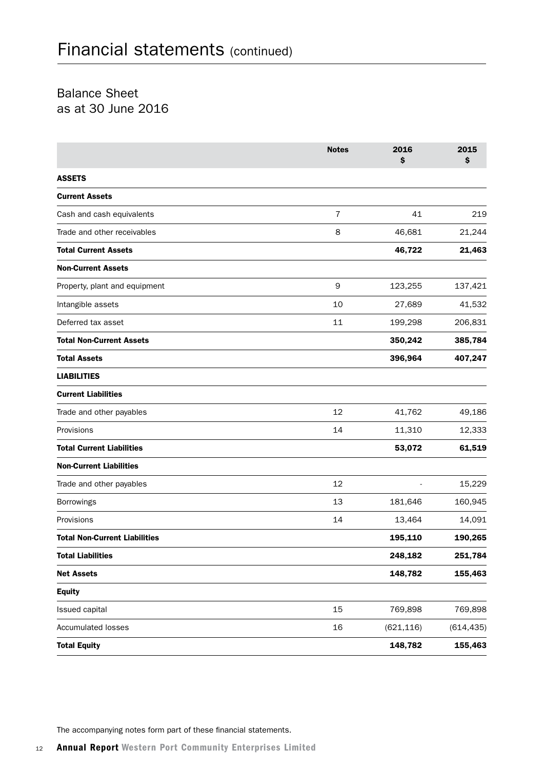# Balance Sheet as at 30 June 2016

|                                      | <b>Notes</b>   | 2016<br>\$ | 2015<br>\$ |
|--------------------------------------|----------------|------------|------------|
| <b>ASSETS</b>                        |                |            |            |
| <b>Current Assets</b>                |                |            |            |
| Cash and cash equivalents            | $\overline{7}$ | 41         | 219        |
| Trade and other receivables          | 8              | 46,681     | 21,244     |
| <b>Total Current Assets</b>          |                | 46,722     | 21,463     |
| <b>Non-Current Assets</b>            |                |            |            |
| Property, plant and equipment        | 9              | 123,255    | 137,421    |
| Intangible assets                    | 10             | 27,689     | 41,532     |
| Deferred tax asset                   | 11             | 199,298    | 206,831    |
| <b>Total Non-Current Assets</b>      |                | 350,242    | 385,784    |
| <b>Total Assets</b>                  |                | 396,964    | 407,247    |
| <b>LIABILITIES</b>                   |                |            |            |
| <b>Current Liabilities</b>           |                |            |            |
| Trade and other payables             | 12             | 41,762     | 49,186     |
| Provisions                           | 14             | 11,310     | 12,333     |
| <b>Total Current Liabilities</b>     |                | 53,072     | 61,519     |
| <b>Non-Current Liabilities</b>       |                |            |            |
| Trade and other payables             | 12             |            | 15,229     |
| Borrowings                           | 13             | 181,646    | 160,945    |
| Provisions                           | 14             | 13,464     | 14,091     |
| <b>Total Non-Current Liabilities</b> |                | 195,110    | 190,265    |
| <b>Total Liabilities</b>             |                | 248,182    | 251,784    |
| <b>Net Assets</b>                    |                | 148,782    | 155,463    |
| <b>Equity</b>                        |                |            |            |
| Issued capital                       | 15             | 769,898    | 769,898    |
| <b>Accumulated losses</b>            | 16             | (621, 116) | (614, 435) |
| <b>Total Equity</b>                  |                | 148,782    | 155,463    |

The accompanying notes form part of these financial statements.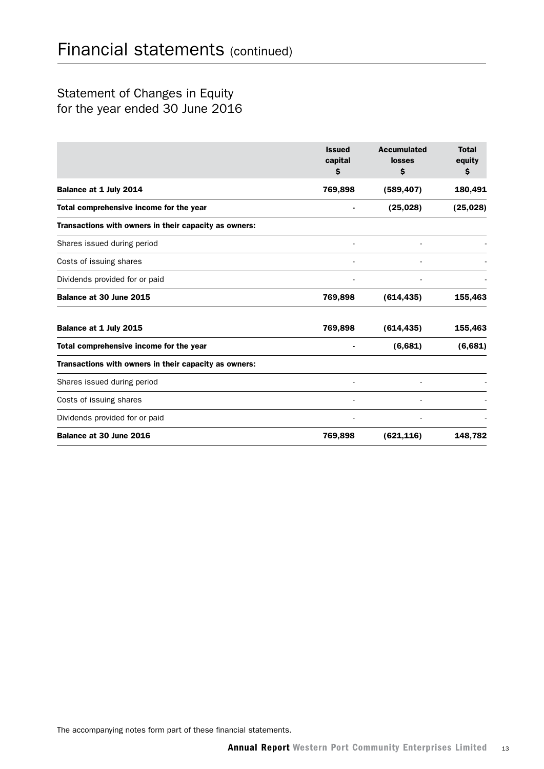# Statement of Changes in Equity for the year ended 30 June 2016

|                                                       | <b>Issued</b><br>capital | <b>Accumulated</b><br>losses | <b>Total</b><br>equity |
|-------------------------------------------------------|--------------------------|------------------------------|------------------------|
|                                                       | S                        | \$                           | \$                     |
| Balance at 1 July 2014                                | 769,898                  | (589, 407)                   | 180,491                |
| Total comprehensive income for the year               |                          | (25, 028)                    | (25, 028)              |
| Transactions with owners in their capacity as owners: |                          |                              |                        |
| Shares issued during period                           |                          |                              |                        |
| Costs of issuing shares                               |                          |                              |                        |
| Dividends provided for or paid                        |                          |                              |                        |
| Balance at 30 June 2015                               | 769,898                  | (614, 435)                   | 155,463                |
| Balance at 1 July 2015                                | 769,898                  | (614, 435)                   | 155,463                |
| Total comprehensive income for the year               |                          | (6,681)                      | (6,681)                |
| Transactions with owners in their capacity as owners: |                          |                              |                        |
| Shares issued during period                           |                          |                              |                        |
| Costs of issuing shares                               |                          |                              |                        |
| Dividends provided for or paid                        |                          |                              |                        |
| Balance at 30 June 2016                               | 769,898                  | (621, 116)                   | 148,782                |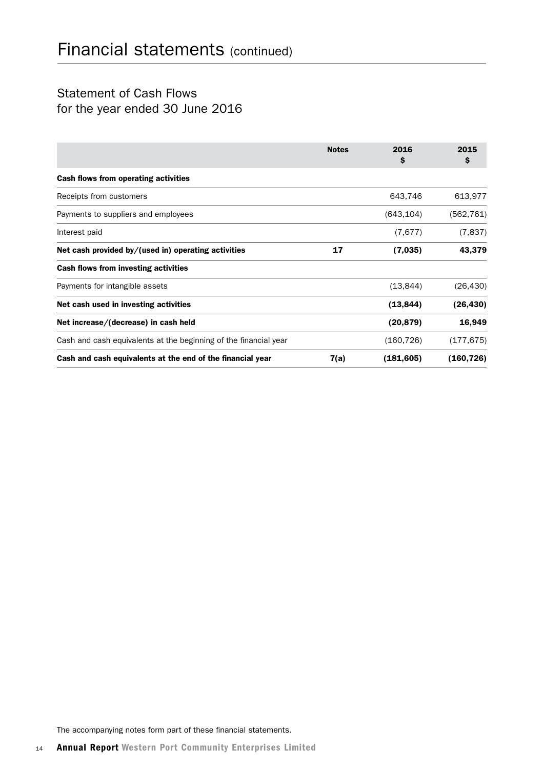# Statement of Cash Flows for the year ended 30 June 2016

|                                                                  | <b>Notes</b> | 2016<br>\$. | 2015<br>Ş  |
|------------------------------------------------------------------|--------------|-------------|------------|
| Cash flows from operating activities                             |              |             |            |
| Receipts from customers                                          |              | 643,746     | 613,977    |
| Payments to suppliers and employees                              |              | (643, 104)  | (562, 761) |
| Interest paid                                                    |              | (7,677)     | (7, 837)   |
| Net cash provided by/(used in) operating activities              | 17           | (7,035)     | 43,379     |
| Cash flows from investing activities                             |              |             |            |
| Payments for intangible assets                                   |              | (13, 844)   | (26, 430)  |
| Net cash used in investing activities                            |              | (13, 844)   | (26, 430)  |
| Net increase/(decrease) in cash held                             |              | (20, 879)   | 16,949     |
| Cash and cash equivalents at the beginning of the financial year |              | (160, 726)  | (177, 675) |
| Cash and cash equivalents at the end of the financial year       | 7(a)         | (181, 605)  | (160, 726) |

The accompanying notes form part of these financial statements.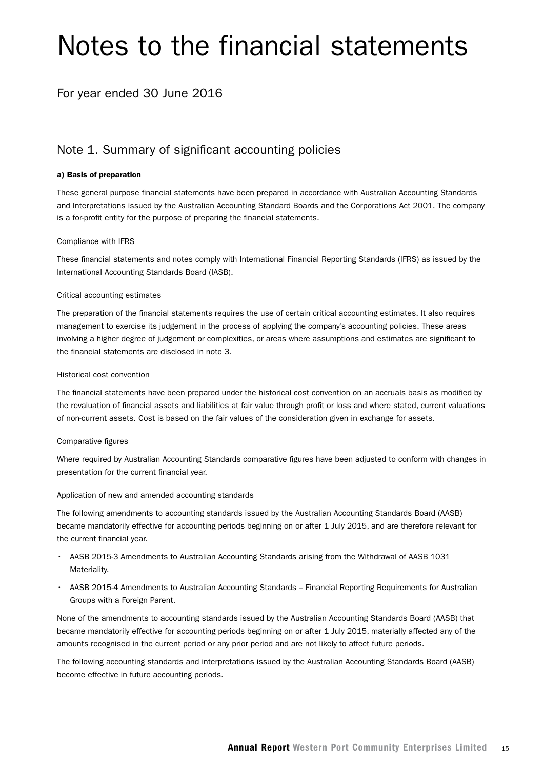# Notes to the financial statements

# For year ended 30 June 2016

## Note 1. Summary of significant accounting policies

#### a) Basis of preparation

These general purpose financial statements have been prepared in accordance with Australian Accounting Standards and Interpretations issued by the Australian Accounting Standard Boards and the Corporations Act 2001. The company is a for-profit entity for the purpose of preparing the financial statements.

#### Compliance with IFRS

These financial statements and notes comply with International Financial Reporting Standards (IFRS) as issued by the International Accounting Standards Board (IASB).

#### Critical accounting estimates

The preparation of the financial statements requires the use of certain critical accounting estimates. It also requires management to exercise its judgement in the process of applying the company's accounting policies. These areas involving a higher degree of judgement or complexities, or areas where assumptions and estimates are significant to the financial statements are disclosed in note 3.

#### Historical cost convention

The financial statements have been prepared under the historical cost convention on an accruals basis as modified by the revaluation of financial assets and liabilities at fair value through profit or loss and where stated, current valuations of non-current assets. Cost is based on the fair values of the consideration given in exchange for assets.

#### Comparative figures

Where required by Australian Accounting Standards comparative figures have been adjusted to conform with changes in presentation for the current financial year.

#### Application of new and amended accounting standards

The following amendments to accounting standards issued by the Australian Accounting Standards Board (AASB) became mandatorily effective for accounting periods beginning on or after 1 July 2015, and are therefore relevant for the current financial year.

- AASB 2015-3 Amendments to Australian Accounting Standards arising from the Withdrawal of AASB 1031 Materiality.
- AASB 2015-4 Amendments to Australian Accounting Standards Financial Reporting Requirements for Australian Groups with a Foreign Parent.

None of the amendments to accounting standards issued by the Australian Accounting Standards Board (AASB) that became mandatorily effective for accounting periods beginning on or after 1 July 2015, materially affected any of the amounts recognised in the current period or any prior period and are not likely to affect future periods.

The following accounting standards and interpretations issued by the Australian Accounting Standards Board (AASB) become effective in future accounting periods.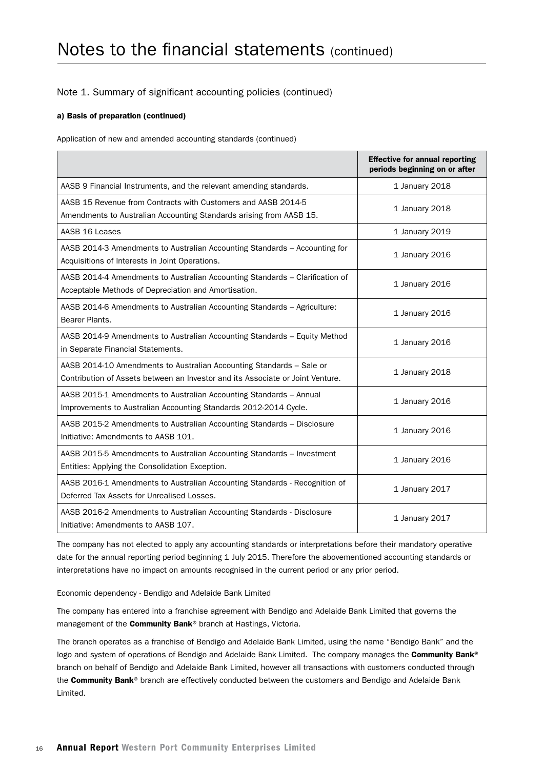#### a) Basis of preparation (continued)

Application of new and amended accounting standards (continued)

|                                                                                                                                                        | <b>Effective for annual reporting</b><br>periods beginning on or after |
|--------------------------------------------------------------------------------------------------------------------------------------------------------|------------------------------------------------------------------------|
| AASB 9 Financial Instruments, and the relevant amending standards.                                                                                     | 1 January 2018                                                         |
| AASB 15 Revenue from Contracts with Customers and AASB 2014-5<br>Amendments to Australian Accounting Standards arising from AASB 15.                   | 1 January 2018                                                         |
| AASB 16 Leases                                                                                                                                         | 1 January 2019                                                         |
| AASB 2014-3 Amendments to Australian Accounting Standards - Accounting for<br>Acquisitions of Interests in Joint Operations.                           | 1 January 2016                                                         |
| AASB 2014-4 Amendments to Australian Accounting Standards - Clarification of<br>Acceptable Methods of Depreciation and Amortisation.                   | 1 January 2016                                                         |
| AASB 2014-6 Amendments to Australian Accounting Standards - Agriculture:<br>Bearer Plants.                                                             | 1 January 2016                                                         |
| AASB 2014-9 Amendments to Australian Accounting Standards - Equity Method<br>in Separate Financial Statements.                                         | 1 January 2016                                                         |
| AASB 2014-10 Amendments to Australian Accounting Standards - Sale or<br>Contribution of Assets between an Investor and its Associate or Joint Venture. | 1 January 2018                                                         |
| AASB 2015-1 Amendments to Australian Accounting Standards - Annual<br>Improvements to Australian Accounting Standards 2012-2014 Cycle.                 | 1 January 2016                                                         |
| AASB 2015-2 Amendments to Australian Accounting Standards - Disclosure<br>Initiative: Amendments to AASB 101.                                          | 1 January 2016                                                         |
| AASB 2015-5 Amendments to Australian Accounting Standards - Investment<br>Entities: Applying the Consolidation Exception.                              | 1 January 2016                                                         |
| AASB 2016-1 Amendments to Australian Accounting Standards - Recognition of<br>Deferred Tax Assets for Unrealised Losses.                               | 1 January 2017                                                         |
| AASB 2016-2 Amendments to Australian Accounting Standards - Disclosure<br>Initiative: Amendments to AASB 107.                                          | 1 January 2017                                                         |

The company has not elected to apply any accounting standards or interpretations before their mandatory operative date for the annual reporting period beginning 1 July 2015. Therefore the abovementioned accounting standards or interpretations have no impact on amounts recognised in the current period or any prior period.

Economic dependency - Bendigo and Adelaide Bank Limited

The company has entered into a franchise agreement with Bendigo and Adelaide Bank Limited that governs the management of the **Community Bank®** branch at Hastings, Victoria.

The branch operates as a franchise of Bendigo and Adelaide Bank Limited, using the name "Bendigo Bank" and the logo and system of operations of Bendigo and Adelaide Bank Limited. The company manages the Community Bank® branch on behalf of Bendigo and Adelaide Bank Limited, however all transactions with customers conducted through the Community Bank® branch are effectively conducted between the customers and Bendigo and Adelaide Bank Limited.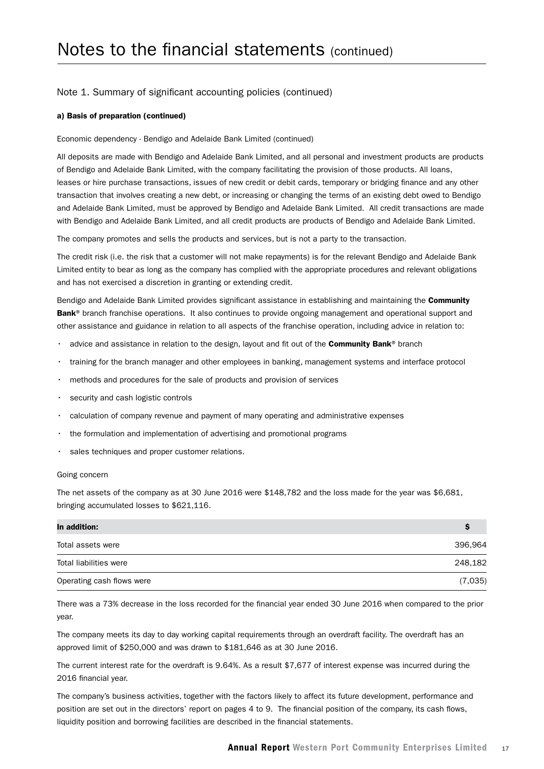#### a) Basis of preparation (continued)

Economic dependency - Bendigo and Adelaide Bank Limited (continued)

All deposits are made with Bendigo and Adelaide Bank Limited, and all personal and investment products are products of Bendigo and Adelaide Bank Limited, with the company facilitating the provision of those products. All loans, leases or hire purchase transactions, issues of new credit or debit cards, temporary or bridging finance and any other transaction that involves creating a new debt, or increasing or changing the terms of an existing debt owed to Bendigo and Adelaide Bank Limited, must be approved by Bendigo and Adelaide Bank Limited. All credit transactions are made with Bendigo and Adelaide Bank Limited, and all credit products are products of Bendigo and Adelaide Bank Limited.

The company promotes and sells the products and services, but is not a party to the transaction.

The credit risk (i.e. the risk that a customer will not make repayments) is for the relevant Bendigo and Adelaide Bank Limited entity to bear as long as the company has complied with the appropriate procedures and relevant obligations and has not exercised a discretion in granting or extending credit.

Bendigo and Adelaide Bank Limited provides significant assistance in establishing and maintaining the Community Bank<sup>®</sup> branch franchise operations. It also continues to provide ongoing management and operational support and other assistance and guidance in relation to all aspects of the franchise operation, including advice in relation to:

- advice and assistance in relation to the design, layout and fit out of the **Community Bank**<sup>®</sup> branch
- training for the branch manager and other employees in banking, management systems and interface protocol
- methods and procedures for the sale of products and provision of services
- security and cash logistic controls
- calculation of company revenue and payment of many operating and administrative expenses
- the formulation and implementation of advertising and promotional programs
- sales techniques and proper customer relations.

#### Going concern

The net assets of the company as at 30 June 2016 were \$148,782 and the loss made for the year was \$6,681, bringing accumulated losses to \$621,116.

| In addition:              |         |
|---------------------------|---------|
| Total assets were         | 396,964 |
| Total liabilities were    | 248,182 |
| Operating cash flows were | (7,035) |

There was a 73% decrease in the loss recorded for the financial year ended 30 June 2016 when compared to the prior year.

The company meets its day to day working capital requirements through an overdraft facility. The overdraft has an approved limit of \$250,000 and was drawn to \$181,646 as at 30 June 2016.

The current interest rate for the overdraft is 9.64%. As a result \$7,677 of interest expense was incurred during the 2016 financial year.

The company's business activities, together with the factors likely to affect its future development, performance and position are set out in the directors' report on pages 4 to 9. The financial position of the company, its cash flows, liquidity position and borrowing facilities are described in the financial statements.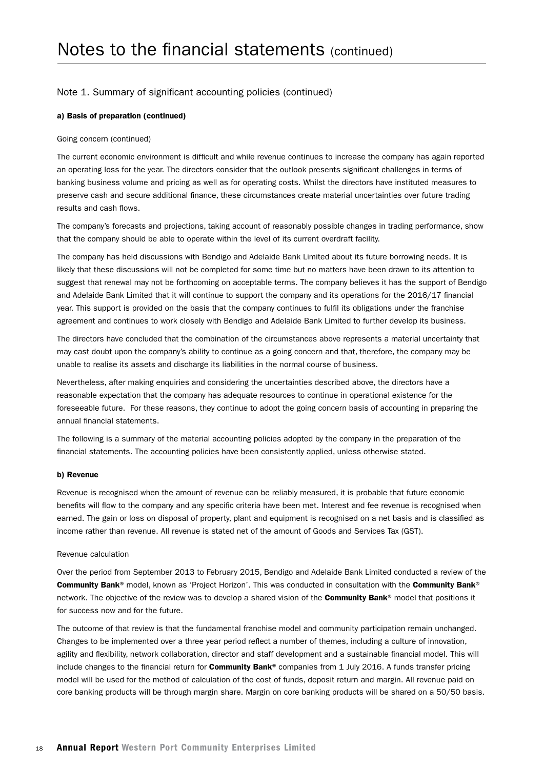#### a) Basis of preparation (continued)

#### Going concern (continued)

The current economic environment is difficult and while revenue continues to increase the company has again reported an operating loss for the year. The directors consider that the outlook presents significant challenges in terms of banking business volume and pricing as well as for operating costs. Whilst the directors have instituted measures to preserve cash and secure additional finance, these circumstances create material uncertainties over future trading results and cash flows.

The company's forecasts and projections, taking account of reasonably possible changes in trading performance, show that the company should be able to operate within the level of its current overdraft facility.

The company has held discussions with Bendigo and Adelaide Bank Limited about its future borrowing needs. It is likely that these discussions will not be completed for some time but no matters have been drawn to its attention to suggest that renewal may not be forthcoming on acceptable terms. The company believes it has the support of Bendigo and Adelaide Bank Limited that it will continue to support the company and its operations for the 2016/17 financial year. This support is provided on the basis that the company continues to fulfil its obligations under the franchise agreement and continues to work closely with Bendigo and Adelaide Bank Limited to further develop its business.

The directors have concluded that the combination of the circumstances above represents a material uncertainty that may cast doubt upon the company's ability to continue as a going concern and that, therefore, the company may be unable to realise its assets and discharge its liabilities in the normal course of business.

Nevertheless, after making enquiries and considering the uncertainties described above, the directors have a reasonable expectation that the company has adequate resources to continue in operational existence for the foreseeable future. For these reasons, they continue to adopt the going concern basis of accounting in preparing the annual financial statements.

The following is a summary of the material accounting policies adopted by the company in the preparation of the financial statements. The accounting policies have been consistently applied, unless otherwise stated.

#### b) Revenue

Revenue is recognised when the amount of revenue can be reliably measured, it is probable that future economic benefits will flow to the company and any specific criteria have been met. Interest and fee revenue is recognised when earned. The gain or loss on disposal of property, plant and equipment is recognised on a net basis and is classified as income rather than revenue. All revenue is stated net of the amount of Goods and Services Tax (GST).

#### Revenue calculation

Over the period from September 2013 to February 2015, Bendigo and Adelaide Bank Limited conducted a review of the Community Bank® model, known as 'Project Horizon'. This was conducted in consultation with the Community Bank® network. The objective of the review was to develop a shared vision of the **Community Bank**® model that positions it for success now and for the future.

The outcome of that review is that the fundamental franchise model and community participation remain unchanged. Changes to be implemented over a three year period reflect a number of themes, including a culture of innovation, agility and flexibility, network collaboration, director and staff development and a sustainable financial model. This will include changes to the financial return for **Community Bank**® companies from 1 July 2016. A funds transfer pricing model will be used for the method of calculation of the cost of funds, deposit return and margin. All revenue paid on core banking products will be through margin share. Margin on core banking products will be shared on a 50/50 basis.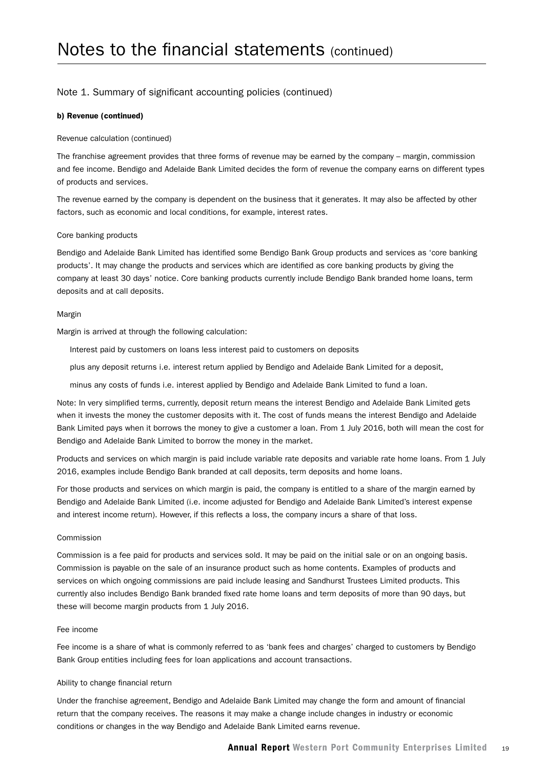#### b) Revenue (continued)

#### Revenue calculation (continued)

The franchise agreement provides that three forms of revenue may be earned by the company – margin, commission and fee income. Bendigo and Adelaide Bank Limited decides the form of revenue the company earns on different types of products and services.

The revenue earned by the company is dependent on the business that it generates. It may also be affected by other factors, such as economic and local conditions, for example, interest rates.

#### Core banking products

Bendigo and Adelaide Bank Limited has identified some Bendigo Bank Group products and services as 'core banking products'. It may change the products and services which are identified as core banking products by giving the company at least 30 days' notice. Core banking products currently include Bendigo Bank branded home loans, term deposits and at call deposits.

#### Margin

Margin is arrived at through the following calculation:

Interest paid by customers on loans less interest paid to customers on deposits

plus any deposit returns i.e. interest return applied by Bendigo and Adelaide Bank Limited for a deposit,

minus any costs of funds i.e. interest applied by Bendigo and Adelaide Bank Limited to fund a loan.

Note: In very simplified terms, currently, deposit return means the interest Bendigo and Adelaide Bank Limited gets when it invests the money the customer deposits with it. The cost of funds means the interest Bendigo and Adelaide Bank Limited pays when it borrows the money to give a customer a loan. From 1 July 2016, both will mean the cost for Bendigo and Adelaide Bank Limited to borrow the money in the market.

Products and services on which margin is paid include variable rate deposits and variable rate home loans. From 1 July 2016, examples include Bendigo Bank branded at call deposits, term deposits and home loans.

For those products and services on which margin is paid, the company is entitled to a share of the margin earned by Bendigo and Adelaide Bank Limited (i.e. income adjusted for Bendigo and Adelaide Bank Limited's interest expense and interest income return). However, if this reflects a loss, the company incurs a share of that loss.

#### Commission

Commission is a fee paid for products and services sold. It may be paid on the initial sale or on an ongoing basis. Commission is payable on the sale of an insurance product such as home contents. Examples of products and services on which ongoing commissions are paid include leasing and Sandhurst Trustees Limited products. This currently also includes Bendigo Bank branded fixed rate home loans and term deposits of more than 90 days, but these will become margin products from 1 July 2016.

#### Fee income

Fee income is a share of what is commonly referred to as 'bank fees and charges' charged to customers by Bendigo Bank Group entities including fees for loan applications and account transactions.

#### Ability to change financial return

Under the franchise agreement, Bendigo and Adelaide Bank Limited may change the form and amount of financial return that the company receives. The reasons it may make a change include changes in industry or economic conditions or changes in the way Bendigo and Adelaide Bank Limited earns revenue.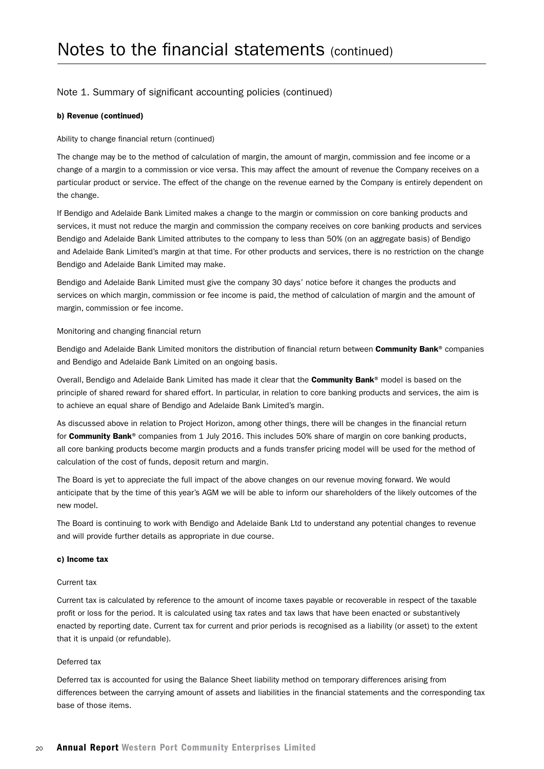#### b) Revenue (continued)

#### Ability to change financial return (continued)

The change may be to the method of calculation of margin, the amount of margin, commission and fee income or a change of a margin to a commission or vice versa. This may affect the amount of revenue the Company receives on a particular product or service. The effect of the change on the revenue earned by the Company is entirely dependent on the change.

If Bendigo and Adelaide Bank Limited makes a change to the margin or commission on core banking products and services, it must not reduce the margin and commission the company receives on core banking products and services Bendigo and Adelaide Bank Limited attributes to the company to less than 50% (on an aggregate basis) of Bendigo and Adelaide Bank Limited's margin at that time. For other products and services, there is no restriction on the change Bendigo and Adelaide Bank Limited may make.

Bendigo and Adelaide Bank Limited must give the company 30 days' notice before it changes the products and services on which margin, commission or fee income is paid, the method of calculation of margin and the amount of margin, commission or fee income.

#### Monitoring and changing financial return

Bendigo and Adelaide Bank Limited monitors the distribution of financial return between Community Bank® companies and Bendigo and Adelaide Bank Limited on an ongoing basis.

Overall, Bendigo and Adelaide Bank Limited has made it clear that the **Community Bank®** model is based on the principle of shared reward for shared effort. In particular, in relation to core banking products and services, the aim is to achieve an equal share of Bendigo and Adelaide Bank Limited's margin.

As discussed above in relation to Project Horizon, among other things, there will be changes in the financial return for Community Bank® companies from 1 July 2016. This includes 50% share of margin on core banking products, all core banking products become margin products and a funds transfer pricing model will be used for the method of calculation of the cost of funds, deposit return and margin.

The Board is yet to appreciate the full impact of the above changes on our revenue moving forward. We would anticipate that by the time of this year's AGM we will be able to inform our shareholders of the likely outcomes of the new model.

The Board is continuing to work with Bendigo and Adelaide Bank Ltd to understand any potential changes to revenue and will provide further details as appropriate in due course.

#### c) Income tax

#### Current tax

Current tax is calculated by reference to the amount of income taxes payable or recoverable in respect of the taxable profit or loss for the period. It is calculated using tax rates and tax laws that have been enacted or substantively enacted by reporting date. Current tax for current and prior periods is recognised as a liability (or asset) to the extent that it is unpaid (or refundable).

#### Deferred tax

Deferred tax is accounted for using the Balance Sheet liability method on temporary differences arising from differences between the carrying amount of assets and liabilities in the financial statements and the corresponding tax base of those items.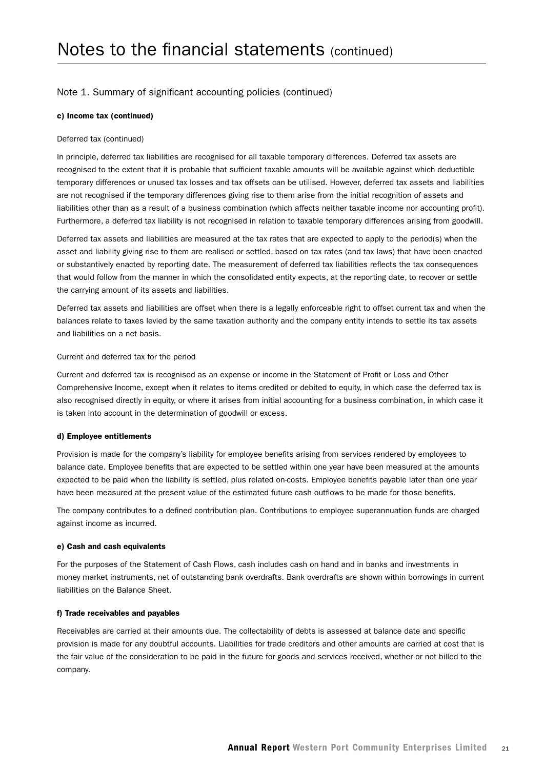#### c) Income tax (continued)

#### Deferred tax (continued)

In principle, deferred tax liabilities are recognised for all taxable temporary differences. Deferred tax assets are recognised to the extent that it is probable that sufficient taxable amounts will be available against which deductible temporary differences or unused tax losses and tax offsets can be utilised. However, deferred tax assets and liabilities are not recognised if the temporary differences giving rise to them arise from the initial recognition of assets and liabilities other than as a result of a business combination (which affects neither taxable income nor accounting profit). Furthermore, a deferred tax liability is not recognised in relation to taxable temporary differences arising from goodwill.

Deferred tax assets and liabilities are measured at the tax rates that are expected to apply to the period(s) when the asset and liability giving rise to them are realised or settled, based on tax rates (and tax laws) that have been enacted or substantively enacted by reporting date. The measurement of deferred tax liabilities reflects the tax consequences that would follow from the manner in which the consolidated entity expects, at the reporting date, to recover or settle the carrying amount of its assets and liabilities.

Deferred tax assets and liabilities are offset when there is a legally enforceable right to offset current tax and when the balances relate to taxes levied by the same taxation authority and the company entity intends to settle its tax assets and liabilities on a net basis.

#### Current and deferred tax for the period

Current and deferred tax is recognised as an expense or income in the Statement of Profit or Loss and Other Comprehensive Income, except when it relates to items credited or debited to equity, in which case the deferred tax is also recognised directly in equity, or where it arises from initial accounting for a business combination, in which case it is taken into account in the determination of goodwill or excess.

#### d) Employee entitlements

Provision is made for the company's liability for employee benefits arising from services rendered by employees to balance date. Employee benefits that are expected to be settled within one year have been measured at the amounts expected to be paid when the liability is settled, plus related on-costs. Employee benefits payable later than one year have been measured at the present value of the estimated future cash outflows to be made for those benefits.

The company contributes to a defined contribution plan. Contributions to employee superannuation funds are charged against income as incurred.

#### e) Cash and cash equivalents

For the purposes of the Statement of Cash Flows, cash includes cash on hand and in banks and investments in money market instruments, net of outstanding bank overdrafts. Bank overdrafts are shown within borrowings in current liabilities on the Balance Sheet.

#### f) Trade receivables and payables

Receivables are carried at their amounts due. The collectability of debts is assessed at balance date and specific provision is made for any doubtful accounts. Liabilities for trade creditors and other amounts are carried at cost that is the fair value of the consideration to be paid in the future for goods and services received, whether or not billed to the company.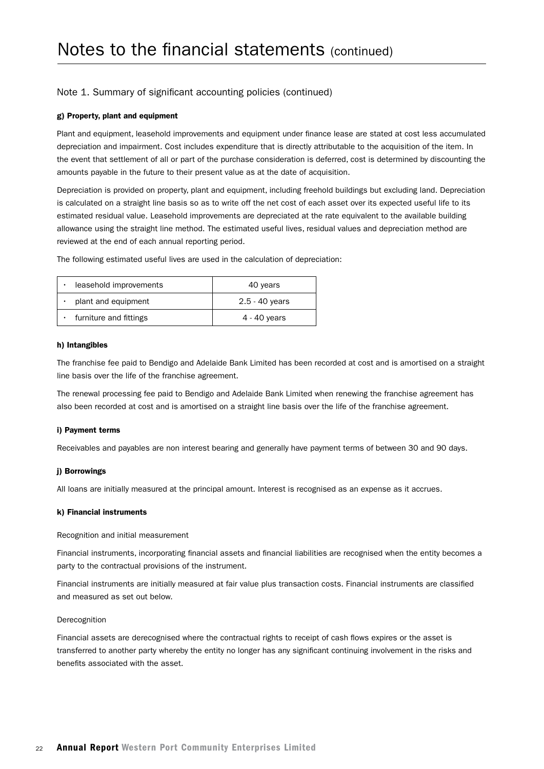#### g) Property, plant and equipment

Plant and equipment, leasehold improvements and equipment under finance lease are stated at cost less accumulated depreciation and impairment. Cost includes expenditure that is directly attributable to the acquisition of the item. In the event that settlement of all or part of the purchase consideration is deferred, cost is determined by discounting the amounts payable in the future to their present value as at the date of acquisition.

Depreciation is provided on property, plant and equipment, including freehold buildings but excluding land. Depreciation is calculated on a straight line basis so as to write off the net cost of each asset over its expected useful life to its estimated residual value. Leasehold improvements are depreciated at the rate equivalent to the available building allowance using the straight line method. The estimated useful lives, residual values and depreciation method are reviewed at the end of each annual reporting period.

The following estimated useful lives are used in the calculation of depreciation:

| leasehold improvements | 40 years         |
|------------------------|------------------|
| plant and equipment    | $2.5 - 40$ years |
| furniture and fittings | 4 - 40 years     |

#### h) Intangibles

The franchise fee paid to Bendigo and Adelaide Bank Limited has been recorded at cost and is amortised on a straight line basis over the life of the franchise agreement.

The renewal processing fee paid to Bendigo and Adelaide Bank Limited when renewing the franchise agreement has also been recorded at cost and is amortised on a straight line basis over the life of the franchise agreement.

#### i) Payment terms

Receivables and payables are non interest bearing and generally have payment terms of between 30 and 90 days.

#### j) Borrowings

All loans are initially measured at the principal amount. Interest is recognised as an expense as it accrues.

#### k) Financial instruments

Recognition and initial measurement

Financial instruments, incorporating financial assets and financial liabilities are recognised when the entity becomes a party to the contractual provisions of the instrument.

Financial instruments are initially measured at fair value plus transaction costs. Financial instruments are classified and measured as set out below.

#### Derecognition

Financial assets are derecognised where the contractual rights to receipt of cash flows expires or the asset is transferred to another party whereby the entity no longer has any significant continuing involvement in the risks and benefits associated with the asset.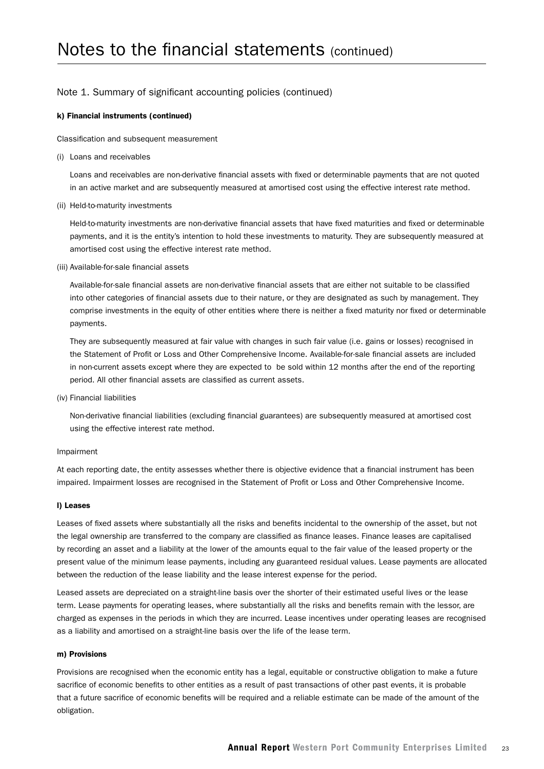#### k) Financial instruments (continued)

Classification and subsequent measurement

(i) Loans and receivables

Loans and receivables are non-derivative financial assets with fixed or determinable payments that are not quoted in an active market and are subsequently measured at amortised cost using the effective interest rate method.

(ii) Held-to-maturity investments

Held-to-maturity investments are non-derivative financial assets that have fixed maturities and fixed or determinable payments, and it is the entity's intention to hold these investments to maturity. They are subsequently measured at amortised cost using the effective interest rate method.

(iii) Available-for-sale financial assets

Available-for-sale financial assets are non-derivative financial assets that are either not suitable to be classified into other categories of financial assets due to their nature, or they are designated as such by management. They comprise investments in the equity of other entities where there is neither a fixed maturity nor fixed or determinable payments.

They are subsequently measured at fair value with changes in such fair value (i.e. gains or losses) recognised in the Statement of Profit or Loss and Other Comprehensive Income. Available-for-sale financial assets are included in non-current assets except where they are expected to be sold within 12 months after the end of the reporting period. All other financial assets are classified as current assets.

(iv) Financial liabilities

Non-derivative financial liabilities (excluding financial guarantees) are subsequently measured at amortised cost using the effective interest rate method.

#### Impairment

At each reporting date, the entity assesses whether there is objective evidence that a financial instrument has been impaired. Impairment losses are recognised in the Statement of Profit or Loss and Other Comprehensive Income.

#### l) Leases

Leases of fixed assets where substantially all the risks and benefits incidental to the ownership of the asset, but not the legal ownership are transferred to the company are classified as finance leases. Finance leases are capitalised by recording an asset and a liability at the lower of the amounts equal to the fair value of the leased property or the present value of the minimum lease payments, including any guaranteed residual values. Lease payments are allocated between the reduction of the lease liability and the lease interest expense for the period.

Leased assets are depreciated on a straight-line basis over the shorter of their estimated useful lives or the lease term. Lease payments for operating leases, where substantially all the risks and benefits remain with the lessor, are charged as expenses in the periods in which they are incurred. Lease incentives under operating leases are recognised as a liability and amortised on a straight-line basis over the life of the lease term.

#### m) Provisions

Provisions are recognised when the economic entity has a legal, equitable or constructive obligation to make a future sacrifice of economic benefits to other entities as a result of past transactions of other past events, it is probable that a future sacrifice of economic benefits will be required and a reliable estimate can be made of the amount of the obligation.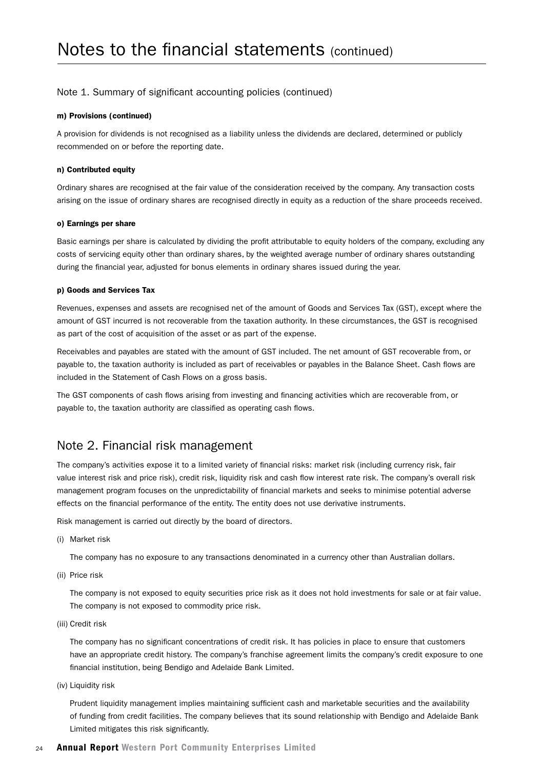#### m) Provisions (continued)

A provision for dividends is not recognised as a liability unless the dividends are declared, determined or publicly recommended on or before the reporting date.

#### n) Contributed equity

Ordinary shares are recognised at the fair value of the consideration received by the company. Any transaction costs arising on the issue of ordinary shares are recognised directly in equity as a reduction of the share proceeds received.

#### o) Earnings per share

Basic earnings per share is calculated by dividing the profit attributable to equity holders of the company, excluding any costs of servicing equity other than ordinary shares, by the weighted average number of ordinary shares outstanding during the financial year, adjusted for bonus elements in ordinary shares issued during the year.

#### p) Goods and Services Tax

Revenues, expenses and assets are recognised net of the amount of Goods and Services Tax (GST), except where the amount of GST incurred is not recoverable from the taxation authority. In these circumstances, the GST is recognised as part of the cost of acquisition of the asset or as part of the expense.

Receivables and payables are stated with the amount of GST included. The net amount of GST recoverable from, or payable to, the taxation authority is included as part of receivables or payables in the Balance Sheet. Cash flows are included in the Statement of Cash Flows on a gross basis.

The GST components of cash flows arising from investing and financing activities which are recoverable from, or payable to, the taxation authority are classified as operating cash flows.

### Note 2. Financial risk management

The company's activities expose it to a limited variety of financial risks: market risk (including currency risk, fair value interest risk and price risk), credit risk, liquidity risk and cash flow interest rate risk. The company's overall risk management program focuses on the unpredictability of financial markets and seeks to minimise potential adverse effects on the financial performance of the entity. The entity does not use derivative instruments.

Risk management is carried out directly by the board of directors.

(i) Market risk

The company has no exposure to any transactions denominated in a currency other than Australian dollars.

(ii) Price risk

The company is not exposed to equity securities price risk as it does not hold investments for sale or at fair value. The company is not exposed to commodity price risk.

(iii) Credit risk

The company has no significant concentrations of credit risk. It has policies in place to ensure that customers have an appropriate credit history. The company's franchise agreement limits the company's credit exposure to one financial institution, being Bendigo and Adelaide Bank Limited.

(iv) Liquidity risk

Prudent liquidity management implies maintaining sufficient cash and marketable securities and the availability of funding from credit facilities. The company believes that its sound relationship with Bendigo and Adelaide Bank Limited mitigates this risk significantly.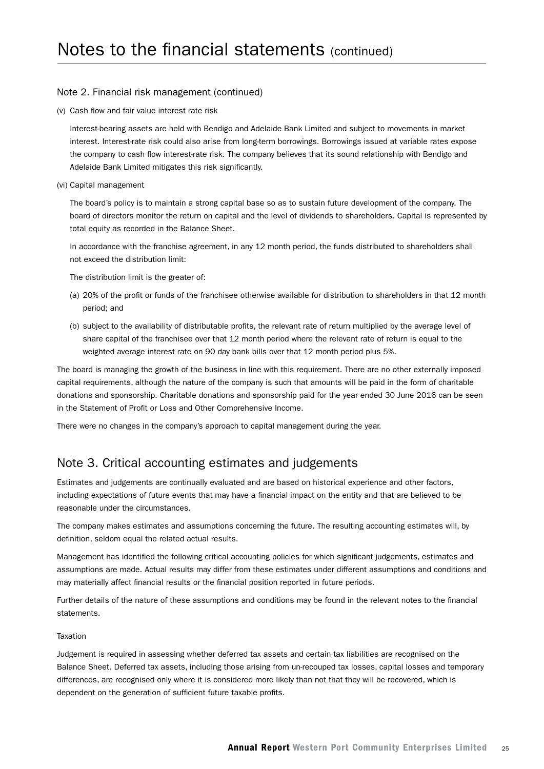#### Note 2. Financial risk management (continued)

(v) Cash flow and fair value interest rate risk

Interest-bearing assets are held with Bendigo and Adelaide Bank Limited and subject to movements in market interest. Interest-rate risk could also arise from long-term borrowings. Borrowings issued at variable rates expose the company to cash flow interest-rate risk. The company believes that its sound relationship with Bendigo and Adelaide Bank Limited mitigates this risk significantly.

(vi) Capital management

The board's policy is to maintain a strong capital base so as to sustain future development of the company. The board of directors monitor the return on capital and the level of dividends to shareholders. Capital is represented by total equity as recorded in the Balance Sheet.

In accordance with the franchise agreement, in any 12 month period, the funds distributed to shareholders shall not exceed the distribution limit:

The distribution limit is the greater of:

- (a) 20% of the profit or funds of the franchisee otherwise available for distribution to shareholders in that 12 month period; and
- (b) subject to the availability of distributable profits, the relevant rate of return multiplied by the average level of share capital of the franchisee over that 12 month period where the relevant rate of return is equal to the weighted average interest rate on 90 day bank bills over that 12 month period plus 5%.

The board is managing the growth of the business in line with this requirement. There are no other externally imposed capital requirements, although the nature of the company is such that amounts will be paid in the form of charitable donations and sponsorship. Charitable donations and sponsorship paid for the year ended 30 June 2016 can be seen in the Statement of Profit or Loss and Other Comprehensive Income.

There were no changes in the company's approach to capital management during the year.

### Note 3. Critical accounting estimates and judgements

Estimates and judgements are continually evaluated and are based on historical experience and other factors, including expectations of future events that may have a financial impact on the entity and that are believed to be reasonable under the circumstances.

The company makes estimates and assumptions concerning the future. The resulting accounting estimates will, by definition, seldom equal the related actual results.

Management has identified the following critical accounting policies for which significant judgements, estimates and assumptions are made. Actual results may differ from these estimates under different assumptions and conditions and may materially affect financial results or the financial position reported in future periods.

Further details of the nature of these assumptions and conditions may be found in the relevant notes to the financial statements.

#### Taxation

Judgement is required in assessing whether deferred tax assets and certain tax liabilities are recognised on the Balance Sheet. Deferred tax assets, including those arising from un-recouped tax losses, capital losses and temporary differences, are recognised only where it is considered more likely than not that they will be recovered, which is dependent on the generation of sufficient future taxable profits.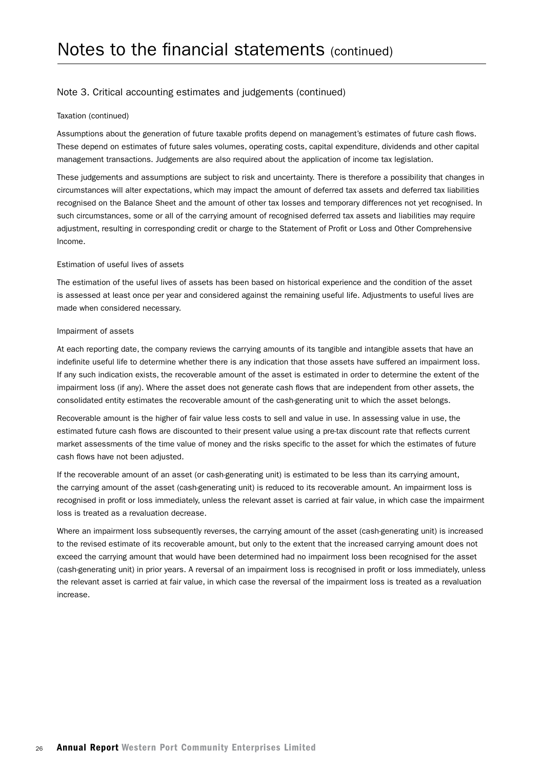#### Note 3. Critical accounting estimates and judgements (continued)

#### Taxation (continued)

Assumptions about the generation of future taxable profits depend on management's estimates of future cash flows. These depend on estimates of future sales volumes, operating costs, capital expenditure, dividends and other capital management transactions. Judgements are also required about the application of income tax legislation.

These judgements and assumptions are subject to risk and uncertainty. There is therefore a possibility that changes in circumstances will alter expectations, which may impact the amount of deferred tax assets and deferred tax liabilities recognised on the Balance Sheet and the amount of other tax losses and temporary differences not yet recognised. In such circumstances, some or all of the carrying amount of recognised deferred tax assets and liabilities may require adjustment, resulting in corresponding credit or charge to the Statement of Profit or Loss and Other Comprehensive Income.

#### Estimation of useful lives of assets

The estimation of the useful lives of assets has been based on historical experience and the condition of the asset is assessed at least once per year and considered against the remaining useful life. Adjustments to useful lives are made when considered necessary.

#### Impairment of assets

At each reporting date, the company reviews the carrying amounts of its tangible and intangible assets that have an indefinite useful life to determine whether there is any indication that those assets have suffered an impairment loss. If any such indication exists, the recoverable amount of the asset is estimated in order to determine the extent of the impairment loss (if any). Where the asset does not generate cash flows that are independent from other assets, the consolidated entity estimates the recoverable amount of the cash-generating unit to which the asset belongs.

Recoverable amount is the higher of fair value less costs to sell and value in use. In assessing value in use, the estimated future cash flows are discounted to their present value using a pre-tax discount rate that reflects current market assessments of the time value of money and the risks specific to the asset for which the estimates of future cash flows have not been adjusted.

If the recoverable amount of an asset (or cash-generating unit) is estimated to be less than its carrying amount, the carrying amount of the asset (cash-generating unit) is reduced to its recoverable amount. An impairment loss is recognised in profit or loss immediately, unless the relevant asset is carried at fair value, in which case the impairment loss is treated as a revaluation decrease.

Where an impairment loss subsequently reverses, the carrying amount of the asset (cash-generating unit) is increased to the revised estimate of its recoverable amount, but only to the extent that the increased carrying amount does not exceed the carrying amount that would have been determined had no impairment loss been recognised for the asset (cash-generating unit) in prior years. A reversal of an impairment loss is recognised in profit or loss immediately, unless the relevant asset is carried at fair value, in which case the reversal of the impairment loss is treated as a revaluation increase.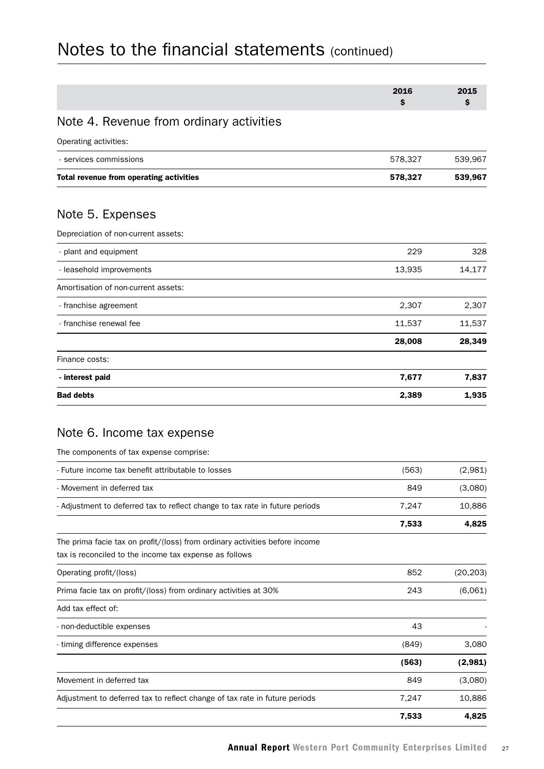|                                                                                                                                       | 2016<br>\$ | 2015<br>\$ |
|---------------------------------------------------------------------------------------------------------------------------------------|------------|------------|
| Note 4. Revenue from ordinary activities                                                                                              |            |            |
| Operating activities:                                                                                                                 |            |            |
| - services commissions                                                                                                                | 578,327    | 539,967    |
| Total revenue from operating activities                                                                                               | 578,327    | 539,967    |
| Note 5. Expenses                                                                                                                      |            |            |
| Depreciation of non-current assets:                                                                                                   |            |            |
| - plant and equipment                                                                                                                 | 229        | 328        |
| - leasehold improvements                                                                                                              | 13,935     | 14,177     |
| Amortisation of non-current assets:                                                                                                   |            |            |
| - franchise agreement                                                                                                                 | 2,307      | 2,307      |
| - franchise renewal fee                                                                                                               | 11,537     | 11,537     |
|                                                                                                                                       | 28,008     | 28,349     |
| Finance costs:                                                                                                                        |            |            |
| - interest paid                                                                                                                       | 7,677      | 7,837      |
| <b>Bad debts</b>                                                                                                                      | 2,389      | 1,935      |
| Note 6. Income tax expense<br>The components of tax expense comprise:<br>- Future income tax benefit attributable to losses           | (563)      | (2,981)    |
| - Movement in deferred tax                                                                                                            | 849        | (3,080)    |
| - Adjustment to deferred tax to reflect change to tax rate in future periods                                                          | 7,247      | 10,886     |
|                                                                                                                                       | 7,533      | 4,825      |
| The prima facie tax on profit/(loss) from ordinary activities before income<br>tax is reconciled to the income tax expense as follows |            |            |
| Operating profit/(loss)                                                                                                               | 852        | (20, 203)  |
| Prima facie tax on profit/(loss) from ordinary activities at 30%                                                                      | 243        | (6,061)    |
| Add tax effect of:                                                                                                                    |            |            |
| - non-deductible expenses                                                                                                             | 43         |            |
| - timing difference expenses                                                                                                          | (849)      | 3,080      |
|                                                                                                                                       | (563)      | (2,981)    |
| Movement in deferred tax                                                                                                              | 849        | (3,080)    |
| Adjustment to deferred tax to reflect change of tax rate in future periods                                                            | 7,247      | 10,886     |
|                                                                                                                                       | 7,533      | 4,825      |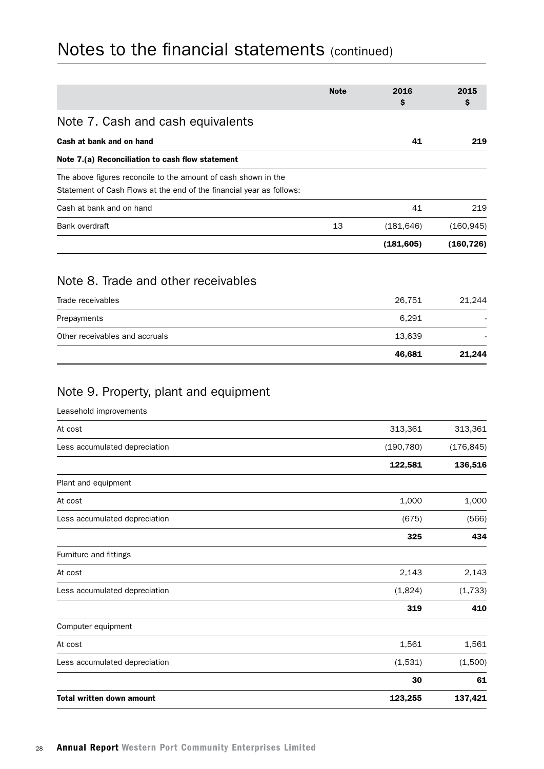|                                                                                                                                        | <b>Note</b> | 2016<br>s  | 2015<br>\$ |
|----------------------------------------------------------------------------------------------------------------------------------------|-------------|------------|------------|
| Note 7. Cash and cash equivalents                                                                                                      |             |            |            |
| Cash at bank and on hand                                                                                                               |             | 41         | 219        |
| Note 7.(a) Reconciliation to cash flow statement                                                                                       |             |            |            |
| The above figures reconcile to the amount of cash shown in the<br>Statement of Cash Flows at the end of the financial year as follows: |             |            |            |
| Cash at bank and on hand                                                                                                               |             | 41         | 219        |
| Bank overdraft                                                                                                                         | 13          | (181, 646) | (160, 945) |
|                                                                                                                                        |             | (181, 605) | (160, 726) |
| Note 8. Trade and other receivables                                                                                                    |             |            |            |
| Trade receivables                                                                                                                      |             | 26,751     | 21,244     |
| Prepayments                                                                                                                            |             | 6,291      |            |
| Other receivables and accruals                                                                                                         |             | 13,639     |            |
|                                                                                                                                        |             | 46,681     | 21,244     |
| Leasehold improvements<br>At cost                                                                                                      |             | 313,361    | 313,361    |
| Less accumulated depreciation                                                                                                          |             | (190, 780) | (176, 845) |
|                                                                                                                                        |             | 122,581    | 136,516    |
| Plant and equipment                                                                                                                    |             |            |            |
| At cost                                                                                                                                |             | 1,000      | 1,000      |
| Less accumulated depreciation                                                                                                          |             | (675)      | (566)      |
|                                                                                                                                        |             | 325        | 434        |
| Furniture and fittings                                                                                                                 |             |            |            |
| At cost                                                                                                                                |             | 2,143      | 2,143      |
| Less accumulated depreciation                                                                                                          |             | (1,824)    | (1, 733)   |
|                                                                                                                                        |             | 319        | 410        |
| Computer equipment                                                                                                                     |             |            |            |
| At cost                                                                                                                                |             | 1,561      | 1,561      |
| Less accumulated depreciation                                                                                                          |             | (1,531)    | (1,500)    |
|                                                                                                                                        |             | 30         | 61         |
| <b>Total written down amount</b>                                                                                                       |             | 123,255    | 137,421    |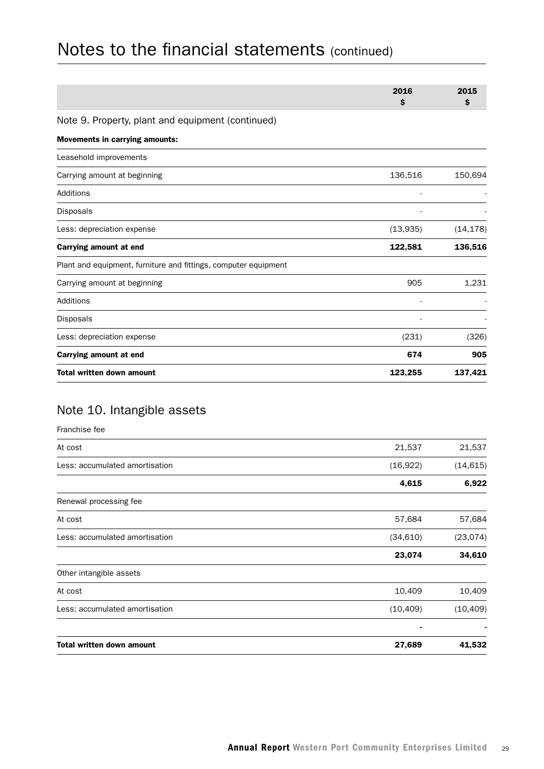|                                                                 | 2016<br>\$ | 2015<br>\$ |
|-----------------------------------------------------------------|------------|------------|
| Note 9. Property, plant and equipment (continued)               |            |            |
| <b>Movements in carrying amounts:</b>                           |            |            |
| Leasehold improvements                                          |            |            |
| Carrying amount at beginning                                    | 136,516    | 150,694    |
| Additions                                                       |            |            |
| <b>Disposals</b>                                                |            |            |
| Less: depreciation expense                                      | (13,935)   | (14, 178)  |
| Carrying amount at end                                          | 122,581    | 136,516    |
| Plant and equipment, furniture and fittings, computer equipment |            |            |
| Carrying amount at beginning                                    | 905        | 1,231      |
| Additions                                                       |            |            |
| Disposals                                                       |            |            |
| Less: depreciation expense                                      | (231)      | (326)      |
| Carrying amount at end                                          | 674        | 905        |
| <b>Total written down amount</b>                                | 123,255    | 137,421    |

# Note 10. Intangible assets

| Franchise fee                    |           |           |
|----------------------------------|-----------|-----------|
| At cost                          | 21,537    | 21,537    |
| Less: accumulated amortisation   | (16, 922) | (14, 615) |
|                                  | 4,615     | 6,922     |
| Renewal processing fee           |           |           |
| At cost                          | 57,684    | 57,684    |
| Less: accumulated amortisation   | (34, 610) | (23, 074) |
|                                  | 23,074    | 34,610    |
| Other intangible assets          |           |           |
| At cost                          | 10,409    | 10,409    |
| Less: accumulated amortisation   | (10, 409) | (10, 409) |
|                                  |           |           |
| <b>Total written down amount</b> | 27,689    | 41,532    |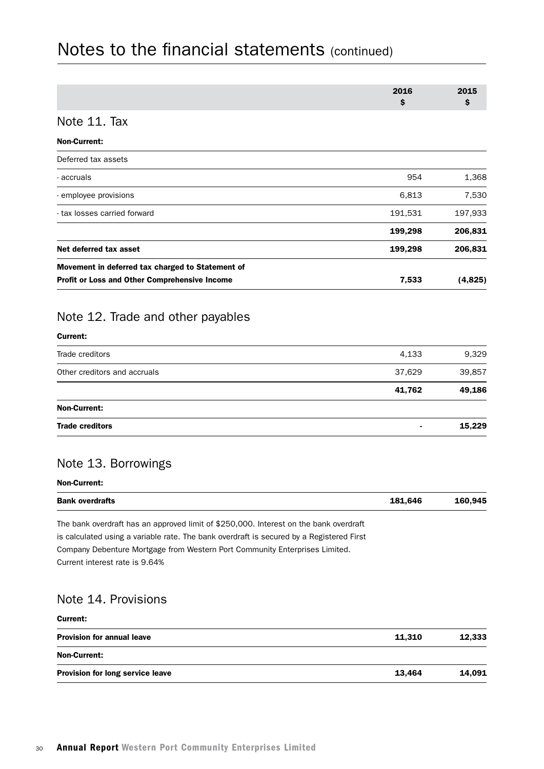|                                                                                                                                                                                                                                                                                                    | 2016<br>\$ | 2015<br>\$ |
|----------------------------------------------------------------------------------------------------------------------------------------------------------------------------------------------------------------------------------------------------------------------------------------------------|------------|------------|
| Note 11. Tax                                                                                                                                                                                                                                                                                       |            |            |
| <b>Non-Current:</b>                                                                                                                                                                                                                                                                                |            |            |
| Deferred tax assets                                                                                                                                                                                                                                                                                |            |            |
| - accruals                                                                                                                                                                                                                                                                                         | 954        | 1,368      |
| - employee provisions                                                                                                                                                                                                                                                                              | 6,813      | 7,530      |
| - tax losses carried forward                                                                                                                                                                                                                                                                       | 191,531    | 197,933    |
|                                                                                                                                                                                                                                                                                                    | 199,298    | 206,831    |
| Net deferred tax asset                                                                                                                                                                                                                                                                             | 199,298    | 206,831    |
| Movement in deferred tax charged to Statement of<br>Profit or Loss and Other Comprehensive Income                                                                                                                                                                                                  | 7,533      | (4,825)    |
| Note 12. Trade and other payables                                                                                                                                                                                                                                                                  |            |            |
| <b>Current:</b>                                                                                                                                                                                                                                                                                    |            |            |
| Trade creditors                                                                                                                                                                                                                                                                                    | 4,133      | 9,329      |
| Other creditors and accruals                                                                                                                                                                                                                                                                       | 37,629     | 39,857     |
| <b>Non-Current:</b>                                                                                                                                                                                                                                                                                | 41,762     | 49,186     |
| <b>Trade creditors</b>                                                                                                                                                                                                                                                                             |            | 15,229     |
| Note 13. Borrowings                                                                                                                                                                                                                                                                                |            |            |
| <b>Non-Current:</b>                                                                                                                                                                                                                                                                                |            |            |
| <b>Bank overdrafts</b>                                                                                                                                                                                                                                                                             | 181,646    | 160,945    |
| The bank overdraft has an approved limit of \$250,000. Interest on the bank overdraft<br>is calculated using a variable rate. The bank overdraft is secured by a Registered First<br>Company Debenture Mortgage from Western Port Community Enterprises Limited.<br>Current interest rate is 9.64% |            |            |
| Note 14. Provisions                                                                                                                                                                                                                                                                                |            |            |
| <b>Current:</b>                                                                                                                                                                                                                                                                                    |            |            |
| <b>Provision for annual leave</b>                                                                                                                                                                                                                                                                  | 11,310     | 12,333     |
| <b>Non-Current:</b>                                                                                                                                                                                                                                                                                |            |            |
| Provision for long service leave                                                                                                                                                                                                                                                                   | 13,464     | 14,091     |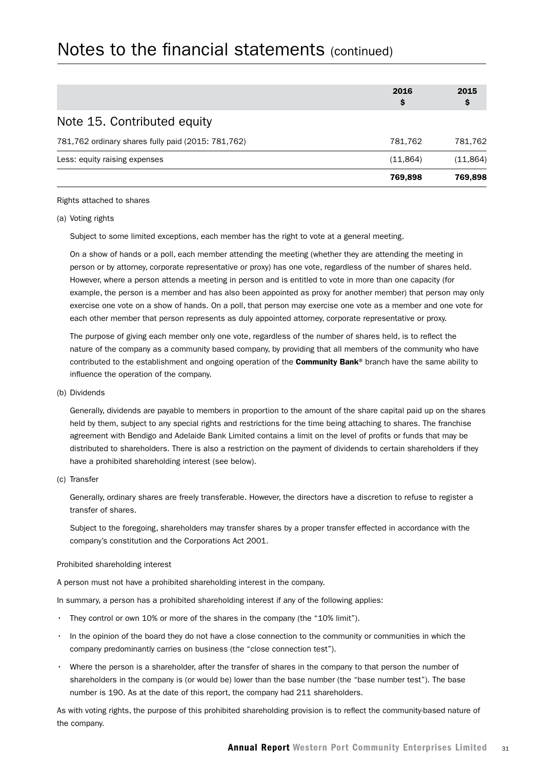|                                                    | 769,898    | 769,898    |
|----------------------------------------------------|------------|------------|
| Less: equity raising expenses                      | (11, 864)  | (11, 864)  |
| 781,762 ordinary shares fully paid (2015: 781,762) | 781.762    | 781,762    |
| Note 15. Contributed equity                        |            |            |
|                                                    | 2016<br>\$ | 2015<br>\$ |
|                                                    |            |            |

#### Rights attached to shares

#### (a) Voting rights

Subject to some limited exceptions, each member has the right to vote at a general meeting.

On a show of hands or a poll, each member attending the meeting (whether they are attending the meeting in person or by attorney, corporate representative or proxy) has one vote, regardless of the number of shares held. However, where a person attends a meeting in person and is entitled to vote in more than one capacity (for example, the person is a member and has also been appointed as proxy for another member) that person may only exercise one vote on a show of hands. On a poll, that person may exercise one vote as a member and one vote for each other member that person represents as duly appointed attorney, corporate representative or proxy.

The purpose of giving each member only one vote, regardless of the number of shares held, is to reflect the nature of the company as a community based company, by providing that all members of the community who have contributed to the establishment and ongoing operation of the Community Bank® branch have the same ability to influence the operation of the company.

(b) Dividends

Generally, dividends are payable to members in proportion to the amount of the share capital paid up on the shares held by them, subject to any special rights and restrictions for the time being attaching to shares. The franchise agreement with Bendigo and Adelaide Bank Limited contains a limit on the level of profits or funds that may be distributed to shareholders. There is also a restriction on the payment of dividends to certain shareholders if they have a prohibited shareholding interest (see below).

(c) Transfer

Generally, ordinary shares are freely transferable. However, the directors have a discretion to refuse to register a transfer of shares.

Subject to the foregoing, shareholders may transfer shares by a proper transfer effected in accordance with the company's constitution and the Corporations Act 2001.

#### Prohibited shareholding interest

A person must not have a prohibited shareholding interest in the company.

In summary, a person has a prohibited shareholding interest if any of the following applies:

- They control or own 10% or more of the shares in the company (the "10% limit").
- In the opinion of the board they do not have a close connection to the community or communities in which the company predominantly carries on business (the "close connection test").
- Where the person is a shareholder, after the transfer of shares in the company to that person the number of shareholders in the company is (or would be) lower than the base number (the "base number test"). The base number is 190. As at the date of this report, the company had 211 shareholders.

As with voting rights, the purpose of this prohibited shareholding provision is to reflect the community-based nature of the company.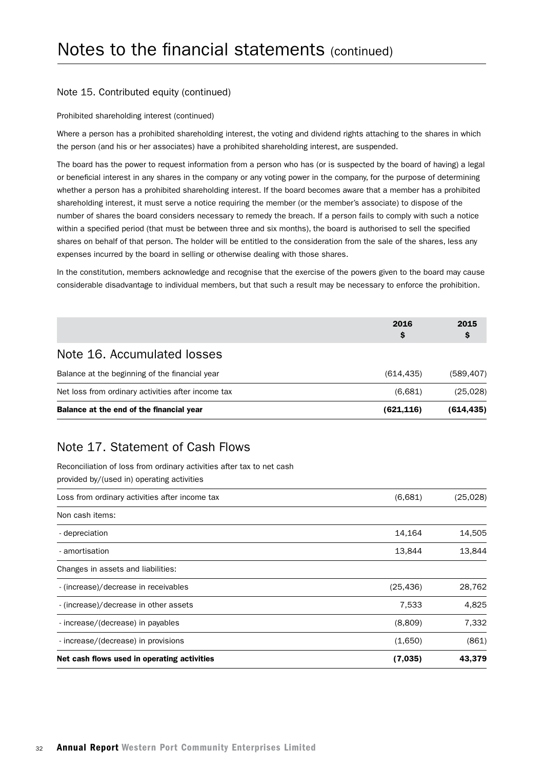#### Note 15. Contributed equity (continued)

#### Prohibited shareholding interest (continued)

Where a person has a prohibited shareholding interest, the voting and dividend rights attaching to the shares in which the person (and his or her associates) have a prohibited shareholding interest, are suspended.

The board has the power to request information from a person who has (or is suspected by the board of having) a legal or beneficial interest in any shares in the company or any voting power in the company, for the purpose of determining whether a person has a prohibited shareholding interest. If the board becomes aware that a member has a prohibited shareholding interest, it must serve a notice requiring the member (or the member's associate) to dispose of the number of shares the board considers necessary to remedy the breach. If a person fails to comply with such a notice within a specified period (that must be between three and six months), the board is authorised to sell the specified shares on behalf of that person. The holder will be entitled to the consideration from the sale of the shares, less any expenses incurred by the board in selling or otherwise dealing with those shares.

In the constitution, members acknowledge and recognise that the exercise of the powers given to the board may cause considerable disadvantage to individual members, but that such a result may be necessary to enforce the prohibition.

|                                                    | 2016<br>S  | 2015       |
|----------------------------------------------------|------------|------------|
| Note 16. Accumulated losses                        |            |            |
| Balance at the beginning of the financial year     | (614, 435) | (589, 407) |
| Net loss from ordinary activities after income tax | (6,681)    | (25,028)   |
| Balance at the end of the financial year           | (621, 116) | (614, 435) |

### Note 17. Statement of Cash Flows

Reconciliation of loss from ordinary activities after tax to net cash provided by/(used in) operating activities

| Loss from ordinary activities after income tax | (6,681)   | (25,028) |
|------------------------------------------------|-----------|----------|
| Non cash items:                                |           |          |
| - depreciation                                 | 14.164    | 14,505   |
| - amortisation                                 | 13,844    | 13,844   |
| Changes in assets and liabilities:             |           |          |
| - (increase)/decrease in receivables           | (25, 436) | 28,762   |
| - (increase)/decrease in other assets          | 7,533     | 4,825    |
| - increase/(decrease) in payables              | (8,809)   | 7.332    |
| - increase/(decrease) in provisions            | (1,650)   | (861)    |
| Net cash flows used in operating activities    | (7,035)   | 43,379   |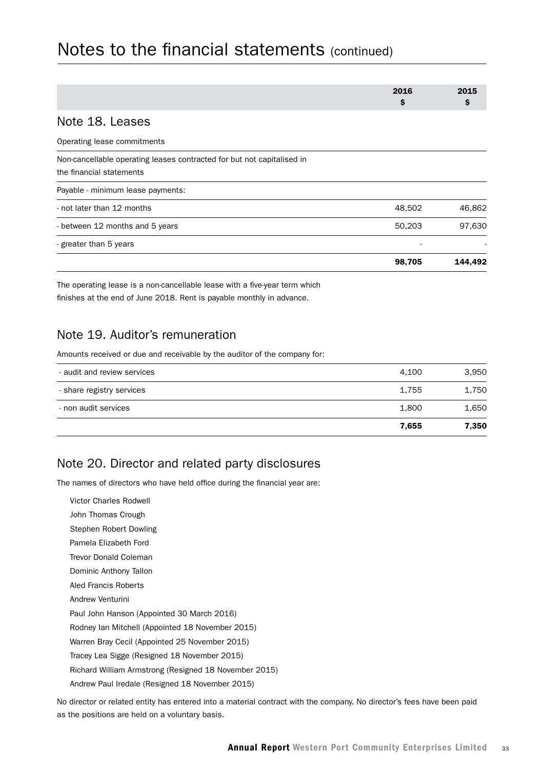|                                                                                                    | 2016<br>\$ | 2015<br>Ş |
|----------------------------------------------------------------------------------------------------|------------|-----------|
| Note 18. Leases                                                                                    |            |           |
| Operating lease commitments                                                                        |            |           |
| Non-cancellable operating leases contracted for but not capitalised in<br>the financial statements |            |           |
| Payable - minimum lease payments:                                                                  |            |           |
| - not later than 12 months                                                                         | 48,502     | 46,862    |
| - between 12 months and 5 years                                                                    | 50,203     | 97,630    |
| - greater than 5 years                                                                             |            |           |
|                                                                                                    | 98,705     | 144,492   |

The operating lease is a non-cancellable lease with a five-year term which finishes at the end of June 2018. Rent is payable monthly in advance.

### Note 19. Auditor's remuneration

Amounts received or due and receivable by the auditor of the company for:

|                             | 7.655 | 7,350 |
|-----------------------------|-------|-------|
| - non audit services        | 1.800 | 1,650 |
| - share registry services   | 1,755 | 1,750 |
| - audit and review services | 4.100 | 3.950 |

## Note 20. Director and related party disclosures

The names of directors who have held office during the financial year are:

Victor Charles Rodwell John Thomas Crough Stephen Robert Dowling Pamela Elizabeth Ford Trevor Donald Coleman Dominic Anthony Tallon Aled Francis Roberts Andrew Venturini Paul John Hanson (Appointed 30 March 2016) Rodney Ian Mitchell (Appointed 18 November 2015) Warren Bray Cecil (Appointed 25 November 2015) Tracey Lea Sigge (Resigned 18 November 2015) Richard William Armstrong (Resigned 18 November 2015) Andrew Paul Iredale (Resigned 18 November 2015)

No director or related entity has entered into a material contract with the company. No director's fees have been paid as the positions are held on a voluntary basis.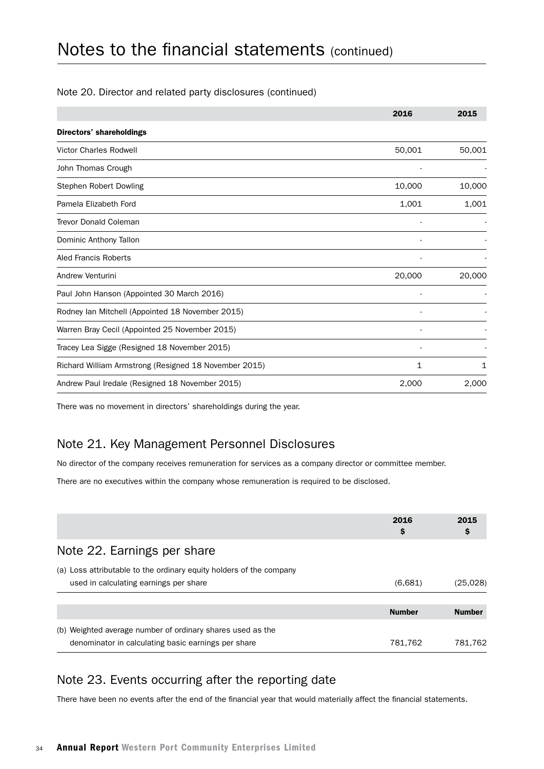#### Note 20. Director and related party disclosures (continued)

| Directors' shareholdings                              |        |        |
|-------------------------------------------------------|--------|--------|
| <b>Victor Charles Rodwell</b>                         | 50,001 | 50,001 |
| John Thomas Crough                                    |        |        |
| Stephen Robert Dowling                                | 10,000 | 10,000 |
| Pamela Elizabeth Ford                                 | 1,001  | 1,001  |
| <b>Trevor Donald Coleman</b>                          |        |        |
| Dominic Anthony Tallon                                |        |        |
| <b>Aled Francis Roberts</b>                           |        |        |
| Andrew Venturini                                      | 20,000 | 20,000 |
| Paul John Hanson (Appointed 30 March 2016)            |        |        |
| Rodney Ian Mitchell (Appointed 18 November 2015)      |        |        |
| Warren Bray Cecil (Appointed 25 November 2015)        |        |        |
| Tracey Lea Sigge (Resigned 18 November 2015)          |        |        |
| Richard William Armstrong (Resigned 18 November 2015) | 1      | 1      |
| Andrew Paul Iredale (Resigned 18 November 2015)       | 2,000  | 2,000  |

There was no movement in directors' shareholdings during the year.

### Note 21. Key Management Personnel Disclosures

No director of the company receives remuneration for services as a company director or committee member.

There are no executives within the company whose remuneration is required to be disclosed.

|                                                                                                                   | 2016<br>\$    | 2015<br>Ş     |
|-------------------------------------------------------------------------------------------------------------------|---------------|---------------|
| Note 22. Earnings per share                                                                                       |               |               |
| (a) Loss attributable to the ordinary equity holders of the company<br>used in calculating earnings per share     | (6,681)       | (25,028)      |
|                                                                                                                   | <b>Number</b> | <b>Number</b> |
| (b) Weighted average number of ordinary shares used as the<br>denominator in calculating basic earnings per share | 781,762       | 781.762       |

## Note 23. Events occurring after the reporting date

There have been no events after the end of the financial year that would materially affect the financial statements.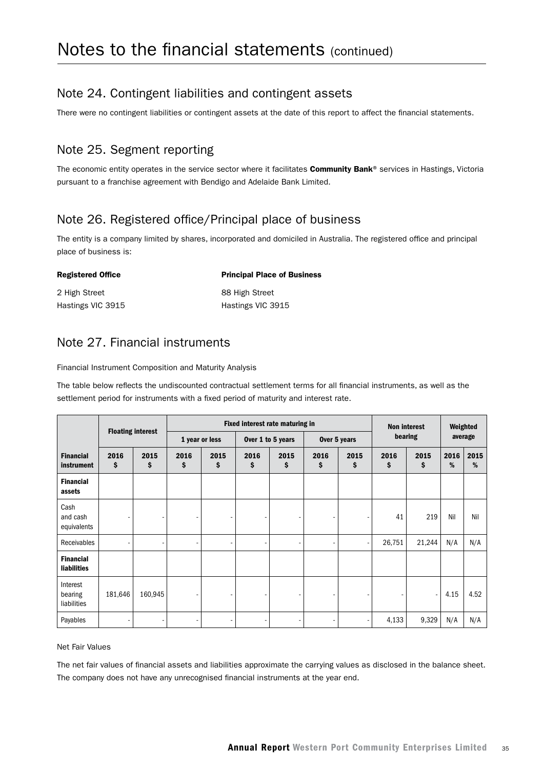## Note 24. Contingent liabilities and contingent assets

There were no contingent liabilities or contingent assets at the date of this report to affect the financial statements.

## Note 25. Segment reporting

The economic entity operates in the service sector where it facilitates Community Bank® services in Hastings, Victoria pursuant to a franchise agreement with Bendigo and Adelaide Bank Limited.

## Note 26. Registered office/Principal place of business

The entity is a company limited by shares, incorporated and domiciled in Australia. The registered office and principal place of business is:

Registered Office **Principal Place of Business** 

2 High Street 88 High Street Hastings VIC 3915 Hastings VIC 3915

# Note 27. Financial instruments

Financial Instrument Composition and Maturity Analysis

The table below reflects the undiscounted contractual settlement terms for all financial instruments, as well as the settlement period for instruments with a fixed period of maturity and interest rate.

|                                        |                          |            | Fixed interest rate maturing in |            |                   |            |              |            | <b>Non interest</b> |            | Weighted  |           |
|----------------------------------------|--------------------------|------------|---------------------------------|------------|-------------------|------------|--------------|------------|---------------------|------------|-----------|-----------|
|                                        | <b>Floating interest</b> |            | 1 year or less                  |            | Over 1 to 5 years |            | Over 5 years |            | bearing             |            | average   |           |
| <b>Financial</b><br><i>instrument</i>  | 2016<br>\$               | 2015<br>\$ | 2016<br>\$                      | 2015<br>\$ | 2016<br>\$        | 2015<br>\$ | 2016<br>\$   | 2015<br>\$ | 2016<br>\$          | 2015<br>\$ | 2016<br>% | 2015<br>% |
| <b>Financial</b><br>assets             |                          |            |                                 |            |                   |            |              |            |                     |            |           |           |
| Cash<br>and cash<br>equivalents        |                          |            |                                 |            |                   |            |              |            | 41                  | 219        | Nil       | Nil       |
| Receivables                            |                          |            |                                 |            |                   |            |              |            | 26,751              | 21,244     | N/A       | N/A       |
| <b>Financial</b><br><b>liabilities</b> |                          |            |                                 |            |                   |            |              |            |                     |            |           |           |
| Interest<br>bearing<br>liabilities     | 181,646                  | 160,945    |                                 |            |                   |            |              |            |                     |            | 4.15      | 4.52      |
| Payables                               |                          |            |                                 |            |                   |            |              |            | 4,133               | 9,329      | N/A       | N/A       |

#### Net Fair Values

The net fair values of financial assets and liabilities approximate the carrying values as disclosed in the balance sheet. The company does not have any unrecognised financial instruments at the year end.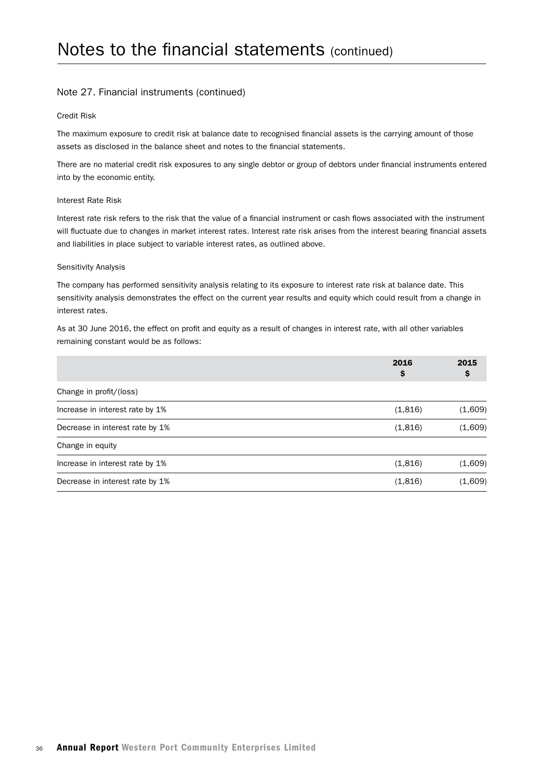#### Note 27. Financial instruments (continued)

#### Credit Risk

The maximum exposure to credit risk at balance date to recognised financial assets is the carrying amount of those assets as disclosed in the balance sheet and notes to the financial statements.

There are no material credit risk exposures to any single debtor or group of debtors under financial instruments entered into by the economic entity.

#### Interest Rate Risk

Interest rate risk refers to the risk that the value of a financial instrument or cash flows associated with the instrument will fluctuate due to changes in market interest rates. Interest rate risk arises from the interest bearing financial assets and liabilities in place subject to variable interest rates, as outlined above.

#### Sensitivity Analysis

The company has performed sensitivity analysis relating to its exposure to interest rate risk at balance date. This sensitivity analysis demonstrates the effect on the current year results and equity which could result from a change in interest rates.

As at 30 June 2016, the effect on profit and equity as a result of changes in interest rate, with all other variables remaining constant would be as follows:

|                                 | 2016<br>\$ | 2015<br>P |
|---------------------------------|------------|-----------|
| Change in profit/(loss)         |            |           |
| Increase in interest rate by 1% | (1,816)    | (1,609)   |
| Decrease in interest rate by 1% | (1,816)    | (1,609)   |
| Change in equity                |            |           |
| Increase in interest rate by 1% | (1,816)    | (1,609)   |
| Decrease in interest rate by 1% | (1,816)    | (1,609)   |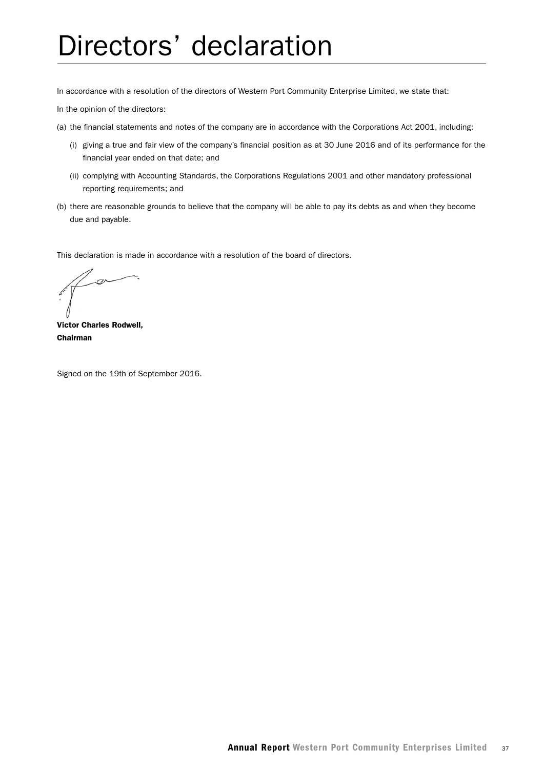# Directors' declaration

In accordance with a resolution of the directors of Western Port Community Enterprise Limited, we state that:

In the opinion of the directors:

- (a) the financial statements and notes of the company are in accordance with the Corporations Act 2001, including:
	- (i) giving a true and fair view of the company's financial position as at 30 June 2016 and of its performance for the financial year ended on that date; and
	- (ii) complying with Accounting Standards, the Corporations Regulations 2001 and other mandatory professional reporting requirements; and
- (b) there are reasonable grounds to believe that the company will be able to pay its debts as and when they become due and payable.

This declaration is made in accordance with a resolution of the board of directors.

 $\overline{\phantom{0}}$ 

Victor Charles Rodwell, Chairman

Signed on the 19th of September 2016.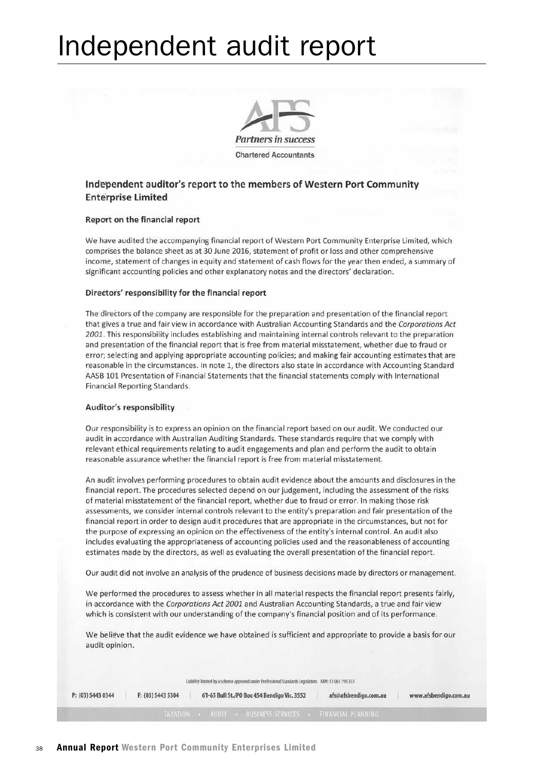# Independent audit report



### Independent auditor's report to the members of Western Port Community **Enterprise Limited**

#### Report on the financial report

We have audited the accompanying financial report of Western Port Community Enterprise Limited, which comprises the balance sheet as at 30 June 2016, statement of profit or loss and other comprehensive income, statement of changes in equity and statement of cash flows for the year then ended, a summary of significant accounting policies and other explanatory notes and the directors' declaration.

#### Directors' responsibility for the financial report

The directors of the company are responsible for the preparation and presentation of the financial report that gives a true and fair view in accordance with Australian Accounting Standards and the Corporations Act 2001. This responsibility includes establishing and maintaining internal controls relevant to the preparation and presentation of the financial report that is free from material misstatement, whether due to fraud or error; selecting and applying appropriate accounting policies; and making fair accounting estimates that are reasonable in the circumstances. In note 1, the directors also state in accordance with Accounting Standard AASB 101 Presentation of Financial Statements that the financial statements comply with International **Financial Reporting Standards.** 

#### Auditor's responsibility

Our responsibility is to express an opinion on the financial report based on our audit. We conducted our audit in accordance with Australian Auditing Standards. These standards require that we comply with relevant ethical requirements relating to audit engagements and plan and perform the audit to obtain reasonable assurance whether the financial report is free from material misstatement.

An audit involves performing procedures to obtain audit evidence about the amounts and disclosures in the financial report. The procedures selected depend on our judgement, including the assessment of the risks of material misstatement of the financial report, whether due to fraud or error. In making those risk assessments, we consider internal controls relevant to the entity's preparation and fair presentation of the financial report in order to design audit procedures that are appropriate in the circumstances, but not for the purpose of expressing an opinion on the effectiveness of the entity's internal control. An audit also includes evaluating the appropriateness of accounting policies used and the reasonableness of accounting estimates made by the directors, as well as evaluating the overall presentation of the financial report.

Our audit did not involve an analysis of the prudence of business decisions made by directors or management.

We performed the procedures to assess whether in all material respects the financial report presents fairly, in accordance with the Corporations Act 2001 and Australian Accounting Standards, a true and fair view which is consistent with our understanding of the company's financial position and of its performance.

We believe that the audit evidence we have obtained is sufficient and appropriate to provide a basis for our audit opinion.

| Liability limited by a scheme approved under Professional Standards Legislation. ABN: 51 061 795 337. |                   |                                                           |                       |                       |  |  |
|-------------------------------------------------------------------------------------------------------|-------------------|-----------------------------------------------------------|-----------------------|-----------------------|--|--|
| P: (03) 5443 0344                                                                                     | F: (03) 5443 5304 | 61-65 Bull St./PO Box 454 Bendigo Vic. 3552               | afs@afsbendigo.com.au | www.afsbendigo.com.au |  |  |
|                                                                                                       |                   | TAXATION - AUDIT - BUSINESS SERVICES - FINANCIAL PLANNING |                       |                       |  |  |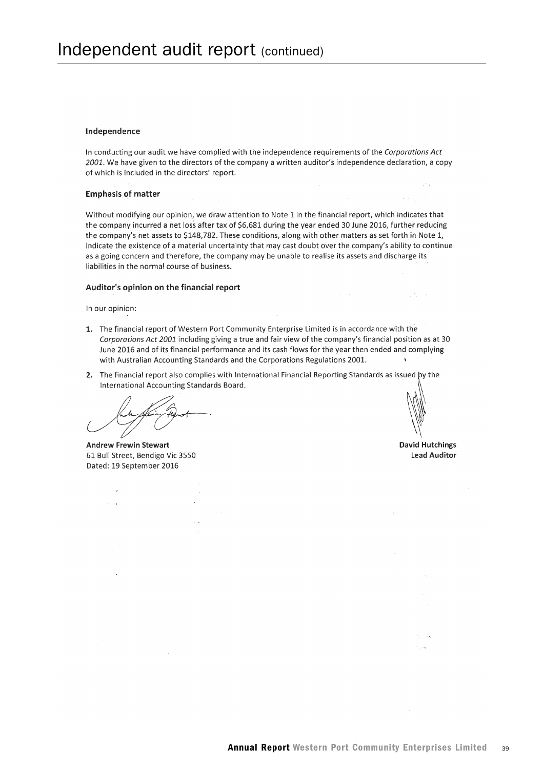#### Independence

In conducting our audit we have complied with the independence requirements of the Corporations Act 2001. We have given to the directors of the company a written auditor's independence declaration, a copy of which is included in the directors' report.

#### **Emphasis of matter**

Without modifying our opinion, we draw attention to Note 1 in the financial report, which indicates that the company incurred a net loss after tax of \$6,681 during the year ended 30 June 2016, further reducing the company's net assets to \$148,782. These conditions, along with other matters as set forth in Note 1, indicate the existence of a material uncertainty that may cast doubt over the company's ability to continue as a going concern and therefore, the company may be unable to realise its assets and discharge its liabilities in the normal course of business.

#### Auditor's opinion on the financial report

In our opinion:

- 1. The financial report of Western Port Community Enterprise Limited is in accordance with the Corporations Act 2001 including giving a true and fair view of the company's financial position as at 30 June 2016 and of its financial performance and its cash flows for the year then ended and complying with Australian Accounting Standards and the Corporations Regulations 2001.
- 2. The financial report also complies with International Financial Reporting Standards as issued by the International Accounting Standards Board.

**Andrew Frewin Stewart** 61 Bull Street, Bendigo Vic 3550 Dated: 19 September 2016

**David Hutchings Lead Auditor**